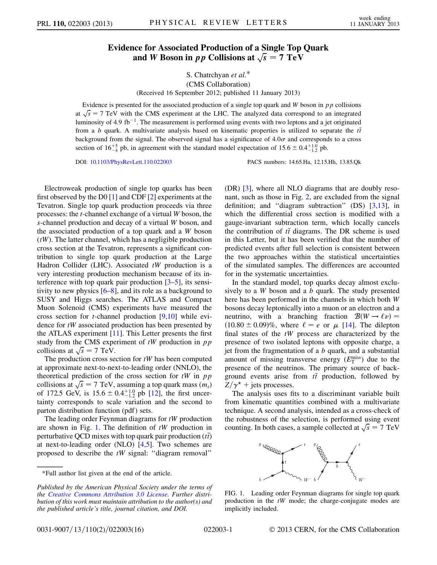## Evidence for Associated Production of a Single Top Quark and *W* Boson in *pp* Collisions at  $\sqrt{s} = 7$  TeV

## S. Chatrchyan et al.\* (CMS Collaboration) (Received 16 September 2012; published 11 January 2013)

Evidence is presented for the associated production of a single top quark and  $W$  boson in  $pp$  collisions at  $\sqrt{s}$  = 7 TeV with the CMS experiment at the LHC. The analyzed data correspond to an integrated luminosity of 4.9 fb<sup>-1</sup>. The measurement is performed using events with two leptons and a jet originated from a b quark. A multivariate analysis based on kinematic properties is utilized to separate the  $t\bar{t}$ background from the signal. The observed signal has a significance of  $4.0\sigma$  and corresponds to a cross section of  $16^{+5}_{-4}$  pb, in agreement with the standard model expectation of  $15.6 \pm 0.4^{+1.0}_{-1.2}$  pb.

DOI: [10.1103/PhysRevLett.110.022003](http://dx.doi.org/10.1103/PhysRevLett.110.022003) PACS numbers: 14.65.Ha, 12.15.Hh, 13.85.Qk

Electroweak production of single top quarks has been first observed by the D0 [\[1](#page-4-0)] and CDF [\[2](#page-4-1)] experiments at the Tevatron. Single top quark production proceeds via three processes: the t-channel exchange of a virtual W boson, the s-channel production and decay of a virtual W boson, and the associated production of a top quark and a W boson  $(tW)$ . The latter channel, which has a negligible production cross section at the Tevatron, represents a significant contribution to single top quark production at the Large Hadron Collider (LHC). Associated  $tW$  production is a very interesting production mechanism because of its interference with top quark pair production  $[3-5]$  $[3-5]$  $[3-5]$ , its sensitivity to new physics [[6–](#page-4-4)[8](#page-4-5)], and its role as a background to SUSY and Higgs searches. The ATLAS and Compact Muon Solenoid (CMS) experiments have measured the cross section for *t*-channel production  $[9,10]$  $[9,10]$  $[9,10]$  while evidence for tW associated production has been presented by the ATLAS experiment [\[11\]](#page-4-8). This Letter presents the first study from the CMS experiment of  $tW$  production in  $pp$ collisions at  $\sqrt{s} = 7$  TeV.

The production cross section for  $tW$  has been computed at approximate next-to-next-to-leading order (NNLO), the theoretical prediction of the cross section for  $tW$  in  $pp$ collisions at  $\sqrt{s} = 7$  TeV, assuming a top quark mass  $(m_t)$ of 172.5 GeV, is  $15.6 \pm 0.4_{-1.2}^{+1.0}$  pb [[12\]](#page-4-9), the first uncertainty corresponds to scale variation and the second to parton distribution function (pdf) sets.

The leading order Feynman diagrams for tW production are shown in Fig. [1](#page-0-0). The definition of  $tW$  production in perturbative QCD mixes with top quark pair production  $(t\bar{t})$ at next-to-leading order (NLO) [[4,](#page-4-10)[5\]](#page-4-3). Two schemes are proposed to describe the tW signal: ''diagram removal''

(DR) [[3\]](#page-4-2), where all NLO diagrams that are doubly resonant, such as those in Fig. [2,](#page-1-0) are excluded from the signal definition; and ''diagram subtraction'' (DS) [\[3,](#page-4-2)[13\]](#page-4-11), in which the differential cross section is modified with a gauge-invariant subtraction term, which locally cancels the contribution of  $t\bar{t}$  diagrams. The DR scheme is used in this Letter, but it has been verified that the number of predicted events after full selection is consistent between the two approaches within the statistical uncertainties of the simulated samples. The differences are accounted for in the systematic uncertainties.

In the standard model, top quarks decay almost exclusively to a  $W$  boson and a  $b$  quark. The study presented here has been performed in the channels in which both W bosons decay leptonically into a muon or an electron and a neutrino, with a branching fraction  $\mathcal{B}(W \to \ell \nu) =$  $(10.80 \pm 0.09)\%$ , where  $\ell = e$  or  $\mu$  [\[14\]](#page-4-12). The dilepton final states of the  $tW$  process are characterized by the presence of two isolated leptons with opposite charge, a jet from the fragmentation of a  $b$  quark, and a substantial amount of missing transverse energy  $(E_{\text{T}}^{\text{miss}})$  due to the presence of the neutrinos. The primary source of background events arise from  $t\bar{t}$  production, followed by  $Z/\gamma^*$  + jets processes.

The analysis uses fits to a discriminant variable built from kinematic quantities combined with a multivariate technique. A second analysis, intended as a cross-check of the robustness of the selection, is performed using event counting. In both cases, a sample collected at  $\sqrt{s} = 7 \text{ TeV}$ 

<span id="page-0-0"></span>

FIG. 1. Leading order Feynman diagrams for single top quark production in the tW mode; the charge-conjugate modes are implicitly included.

<sup>\*</sup>Full author list given at the end of the article.

Published by the American Physical Society under the terms of the [Creative Commons Attribution 3.0 License.](http://creativecommons.org/licenses/by/3.0/) Further distribution of this work must maintain attribution to the author(s) and the published article's title, journal citation, and DOI.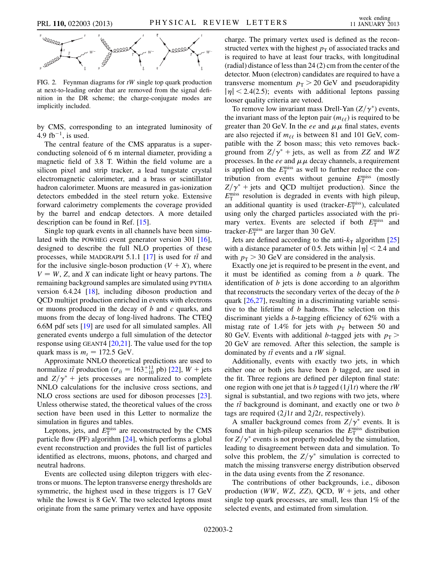

<span id="page-1-0"></span>

FIG. 2. Feynman diagrams for  $tW$  single top quark production at next-to-leading order that are removed from the signal definition in the DR scheme; the charge-conjugate modes are implicitly included.

by CMS, corresponding to an integrated luminosity of 4.9 fb<sup>-1</sup>, is used.

The central feature of the CMS apparatus is a superconducting solenoid of 6 m internal diameter, providing a magnetic field of 3.8 T. Within the field volume are a silicon pixel and strip tracker, a lead tungstate crystal electromagnetic calorimeter, and a brass or scintillator hadron calorimeter. Muons are measured in gas-ionization detectors embedded in the steel return yoke. Extensive forward calorimetry complements the coverage provided by the barrel and endcap detectors. A more detailed description can be found in Ref. [\[15\]](#page-4-13).

Single top quark events in all channels have been simulated with the POWHEG event generator version 301 [[16\]](#page-4-14), designed to describe the full NLO properties of these processes, while MADGRAPH 5.1.1 [\[17\]](#page-4-15) is used for  $t\bar{t}$  and for the inclusive single-boson production  $(V + X)$ , where  $V = W$ , Z, and X can indicate light or heavy partons. The remaining background samples are simulated using PYTHIA version 6.4.24 [\[18\]](#page-4-16), including diboson production and QCD multijet production enriched in events with electrons or muons produced in the decay of  $b$  and  $c$  quarks, and muons from the decay of long-lived hadrons. The CTEQ 6.6M pdf sets [\[19\]](#page-4-17) are used for all simulated samples. All generated events undergo a full simulation of the detector response using GEANT4 [[20](#page-4-18),[21](#page-4-19)]. The value used for the top quark mass is  $m_t = 172.5$  GeV.

Approximate NNLO theoretical predictions are used to normalize *tt* production ( $\sigma_{\bar{t}t} = 163_{-10}^{+11}$  pb) [[22](#page-4-20)],  $W + \text{jets}$ and  $Z/\gamma^*$  + jets processes are normalized to complete NNLO calculations for the inclusive cross sections, and NLO cross sections are used for diboson processes [\[23\]](#page-4-21). Unless otherwise stated, the theoretical values of the cross section have been used in this Letter to normalize the simulation in figures and tables.

Leptons, jets, and  $E_{\rm T}^{\rm miss}$  are reconstructed by the CMS particle flow (PF) algorithm [\[24\]](#page-4-22), which performs a global event reconstruction and provides the full list of particles identified as electrons, muons, photons, and charged and neutral hadrons.

Events are collected using dilepton triggers with electrons or muons. The lepton transverse energy thresholds are symmetric, the highest used in these triggers is 17 GeV while the lowest is 8 GeV. The two selected leptons must originate from the same primary vertex and have opposite charge. The primary vertex used is defined as the reconstructed vertex with the highest  $p<sub>T</sub>$  of associated tracks and is required to have at least four tracks, with longitudinal (radial) distance of less than 24 (2) cm from the center of the detector. Muon (electron) candidates are required to have a transverse momentum  $p_T > 20$  GeV and pseudorapidity  $|\eta|$  < 2.4(2.5); events with additional leptons passing looser quality criteria are vetoed.

To remove low invariant mass Drell-Yan  $(Z/\gamma^*)$  events, the invariant mass of the lepton pair  $(m_{\ell\ell})$  is required to be greater than 20 GeV. In the ee and  $\mu\mu$  final states, events are also rejected if  $m_{\ell\ell}$  is between 81 and 101 GeV, compatible with the Z boson mass; this veto removes background from  $Z/\gamma^*$  + jets, as well as from ZZ and WZ processes. In the ee and  $\mu\mu$  decay channels, a requirement is applied on the  $E_T^{\text{miss}}$  as well to further reduce the contribution from events without genuine  $E_{\rm T}^{\rm miss}$  (mostly  $Z/\gamma^*$  + jets and QCD multijet production). Since the  $E_{\rm T}^{\rm miss}$  resolution is degraded in events with high pileup, an additional quantity is used (tracker- $E_T^{\text{miss}}$ ), calculated using only the charged particles associated with the primary vertex. Events are selected if both  $E_{\text{T}}^{\text{miss}}$  and tracker- $E_{\rm T}^{\rm miss}$  are larger than 30 GeV.

Jets are defined according to the anti- $k_T$  algorithm [\[25\]](#page-4-23) with a distance parameter of 0.5. Jets within  $|\eta|$  < 2.4 and with  $p_T > 30$  GeV are considered in the analysis.

Exactly one jet is required to be present in the event, and it must be identified as coming from a  $b$  quark. The identification of  $b$  jets is done according to an algorithm that reconstructs the secondary vertex of the decay of the b quark [\[26,](#page-4-24)[27\]](#page-4-25), resulting in a discriminating variable sensitive to the lifetime of  $b$  hadrons. The selection on this discriminant yields a b-tagging efficiency of 62% with a mistag rate of 1.4% for jets with  $p_T$  between 50 and 80 GeV. Events with additional b-tagged jets with  $p<sub>T</sub>$  > 20 GeV are removed. After this selection, the sample is dominated by  $t\bar{t}$  events and a  $tW$  signal.

Additionally, events with exactly two jets, in which either one or both jets have been b tagged, are used in the fit. Three regions are defined per dilepton final state: one region with one jet that is b tagged  $(1j1t)$  where the tW signal is substantial, and two regions with two jets, where the  $t\bar{t}$  background is dominant, and exactly one or two b tags are required  $(2j1t$  and  $2j2t$ , respectively).

A smaller background comes from  $Z/\gamma^*$  events. It is found that in high-pileup scenarios the  $E_{\rm T}^{\rm miss}$  distribution for  $Z/\gamma^*$  events is not properly modeled by the simulation, leading to disagreement between data and simulation. To solve this problem, the  $Z/\gamma^*$  simulation is corrected to match the missing transverse energy distribution observed in the data using events from the Z resonance.

The contributions of other backgrounds, i.e., diboson production (WW, WZ, ZZ), QCD,  $W +$  jets, and other single top quark processes, are small, less than  $1\%$  of the selected events, and estimated from simulation.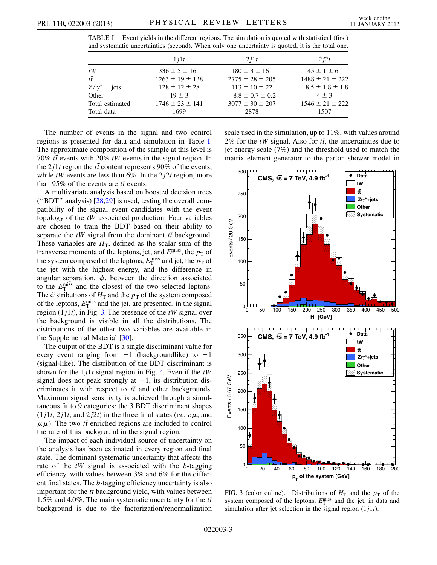| and systematic uncertainties (second). When only one uncertainty is quoted, it is the total one. |                         |                       |                       |
|--------------------------------------------------------------------------------------------------|-------------------------|-----------------------|-----------------------|
|                                                                                                  | $1$ <i>i</i> 1 <i>t</i> | 2i1t                  | 2i2t                  |
| tW                                                                                               | $336 \pm 5 \pm 16$      | $180 \pm 3 \pm 16$    | $45 \pm 1 \pm 6$      |
| $t\bar{t}$                                                                                       | $1263 \pm 19 \pm 138$   | $2775 \pm 28 \pm 205$ | $1488 \pm 21 \pm 222$ |
| $Z/\gamma^*$ + jets                                                                              | $128 \pm 12 \pm 28$     | $113 \pm 10 \pm 22$   | $8.5 \pm 1.8 \pm 1.8$ |
| Other                                                                                            | $19 \pm 3$              | $8.8 \pm 0.7 \pm 0.2$ | $4 \pm 3$             |

 $\pm$  141 3077  $\pm$  30  $\pm$ 

Total data 1699 2878 1507

 $\pm$  3 8.8  $\pm$  0.7  $\pm$  0.2 4  $\pm$ 

<span id="page-2-0"></span>TABLE I. Event yields in the different regions. The simulation is quoted with statistical (first)

The number of events in the signal and two control regions is presented for data and simulation in Table [I](#page-2-0). The approximate composition of the sample at this level is 70%  $t\bar{t}$  events with 20%  $tW$  events in the signal region. In the 2*j*1*t* region the  $t\bar{t}$  content represents 90% of the events, while  $tW$  events are less than 6%. In the 2 $j2t$  region, more than 95% of the events are  $t\bar{t}$  events.

Total estimated  $1746 \pm 23$ <br>Total data  $1699$ 

 $1746 \pm 23 \pm 141$ 

A multivariate analysis based on boosted decision trees (''BDT'' analysis) [[28](#page-4-26),[29](#page-4-27)] is used, testing the overall compatibility of the signal event candidates with the event topology of the tW associated production. Four variables are chosen to train the BDT based on their ability to separate the  $tW$  signal from the dominant  $t\bar{t}$  background. These variables are  $H<sub>T</sub>$ , defined as the scalar sum of the transverse momenta of the leptons, jet, and  $E_T^{\text{miss}}$ , the  $p_T$  of the system composed of the leptons,  $E_{\text{T}}^{\text{miss}}$  and jet, the  $p_{\text{T}}$  of the jet with the highest energy, and the difference in angular separation,  $\phi$ , between the direction associated to the  $E_{\rm T}^{\rm miss}$  and the closest of the two selected leptons. The distributions of  $H_T$  and the  $p_T$  of the system composed of the leptons,  $E_{\rm T}^{\rm miss}$  and the jet, are presented, in the signal region  $(1j1t)$ , in Fig. [3.](#page-2-1) The presence of the tW signal over the background is visible in all the distributions. The distributions of the other two variables are available in the Supplemental Material [[30](#page-4-28)].

The output of the BDT is a single discriminant value for every event ranging from  $-1$  (backgroundlike) to  $+1$ (signal-like). The distribution of the BDT discriminant is shown for the  $1j1t$  signal region in Fig. [4.](#page-3-0) Even if the  $tW$ signal does not peak strongly at  $+1$ , its distribution discriminates it with respect to  $t\bar{t}$  and other backgrounds. Maximum signal sensitivity is achieved through a simultaneous fit to 9 categories: the 3 BDT discriminant shapes  $(1j1t, 2j1t, and 2j2t)$  in the three final states (ee, e $\mu$ , and  $\mu\mu$ ). The two  $t\bar{t}$  enriched regions are included to control the rate of this background in the signal region.

The impact of each individual source of uncertainty on the analysis has been estimated in every region and final state. The dominant systematic uncertainty that affects the rate of the  $tW$  signal is associated with the b-tagging efficiency, with values between 3% and 6% for the different final states. The b-tagging efficiency uncertainty is also important for the  $t\bar{t}$  background yield, with values between 1.5% and 4.0%. The main systematic uncertainty for the  $t\bar{t}$ background is due to the factorization/renormalization scale used in the simulation, up to 11%, with values around 2% for the *tW* signal. Also for  $t\bar{t}$ , the uncertainties due to jet energy scale (7%) and the threshold used to match the matrix element generator to the parton shower model in

 $\pm 207$  1546  $\pm 21 \pm 222$ 

<span id="page-2-1"></span>

FIG. 3 (color online). Distributions of  $H_T$  and the  $p_T$  of the system composed of the leptons,  $E_T^{\text{miss}}$  and the jet, in data and simulation after jet selection in the signal region  $(1j1t)$ .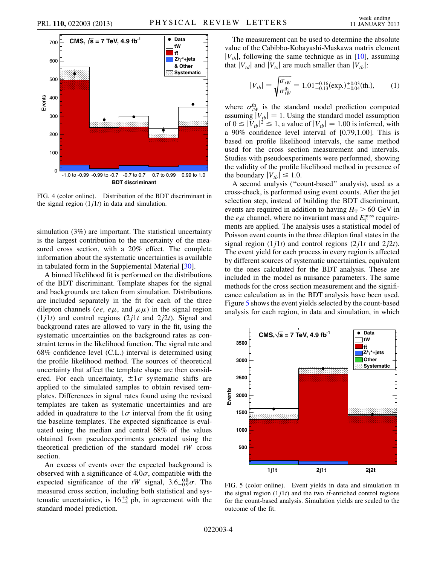<span id="page-3-0"></span>

FIG. 4 (color online). Distribution of the BDT discriminant in the signal region  $(1j1t)$  in data and simulation.

simulation (3%) are important. The statistical uncertainty is the largest contribution to the uncertainty of the measured cross section, with a 20% effect. The complete information about the systematic uncertainties is available in tabulated form in the Supplemental Material [[30](#page-4-28)].

A binned likelihood fit is performed on the distributions of the BDT discriminant. Template shapes for the signal and backgrounds are taken from simulation. Distributions are included separately in the fit for each of the three dilepton channels (ee,  $e\mu$ , and  $\mu\mu$ ) in the signal region  $(1j1t)$  and control regions  $(2j1t$  and  $2j2t)$ . Signal and background rates are allowed to vary in the fit, using the systematic uncertainties on the background rates as constraint terms in the likelihood function. The signal rate and 68% confidence level (C.L.) interval is determined using the profile likelihood method. The sources of theoretical uncertainty that affect the template shape are then considered. For each uncertainty,  $\pm 1\sigma$  systematic shifts are applied to the simulated samples to obtain revised templates. Differences in signal rates found using the revised templates are taken as systematic uncertainties and are added in quadrature to the  $1\sigma$  interval from the fit using the baseline templates. The expected significance is evaluated using the median and central 68% of the values obtained from pseudoexperiments generated using the theoretical prediction of the standard model  $tW$  cross section.

An excess of events over the expected background is observed with a significance of  $4.0\sigma$ , compatible with the expected significance of the tW signal,  $3.6^{+0.8}_{-0.9}\sigma$ . The measured cross section, including both statistical and systematic uncertainties, is  $16^{+5}_{-4}$  pb, in agreement with the standard model prediction.

The measurement can be used to determine the absolute value of the Cabibbo-Kobayashi-Maskawa matrix element  $|V_{tb}|$ , following the same technique as in [\[10\]](#page-4-7), assuming that  $|V_{td}|$  and  $|V_{ts}|$  are much smaller than  $|V_{tb}|$ :

$$
|V_{tb}| = \sqrt{\frac{\sigma_{tW}}{\sigma_{tW}^{\text{th}}}} = 1.01^{+0.16}_{-0.13} \text{(exp.)}^{+0.03}_{-0.04} \text{(th.)},\tag{1}
$$

where  $\sigma_{tW}^{\text{th}}$  is the standard model prediction computed assuming  $|V_{tb}| = 1$ . Using the standard model assumption of  $0 \leq |V_{tb}|^2 \leq 1$ , a value of  $|V_{tb}| = 1.00$  is inferred, with a 90% confidence level interval of [0.79,1.00]. This is based on profile likelihood intervals, the same method used for the cross section measurement and intervals. Studies with pseudoexperiments were performed, showing the validity of the profile likelihood method in presence of the boundary  $|V_{tb}| \leq 1.0$ .

A second analysis (''count-based'' analysis), used as a cross-check, is performed using event counts. After the jet selection step, instead of building the BDT discriminant, events are required in addition to having  $H_T > 60$  GeV in the  $e\mu$  channel, where no invariant mass and  $E_{\rm T}^{\rm miss}$  requirements are applied. The analysis uses a statistical model of Poisson event counts in the three dilepton final states in the signal region  $(1j1t)$  and control regions  $(2j1t$  and  $2j2t)$ . The event yield for each process in every region is affected by different sources of systematic uncertainties, equivalent to the ones calculated for the BDT analysis. These are included in the model as nuisance parameters. The same methods for the cross section measurement and the significance calculation as in the BDT analysis have been used. Figure [5](#page-3-1) shows the event yields selected by the count-based analysis for each region, in data and simulation, in which

<span id="page-3-1"></span>

FIG. 5 (color online). Event yields in data and simulation in the signal region  $(1j1t)$  and the two  $t\bar{t}$ -enriched control regions for the count-based analysis. Simulation yields are scaled to the outcome of the fit.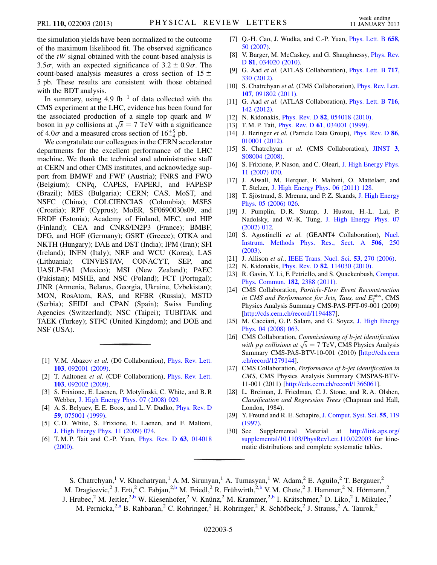the simulation yields have been normalized to the outcome of the maximum likelihood fit. The observed significance of the tW signal obtained with the count-based analysis is 3.5 $\sigma$ , with an expected significance of 3.2  $\pm$  0.9 $\sigma$ . The count-based analysis measures a cross section of  $15 \pm$ 5 pb. These results are consistent with those obtained with the BDT analysis.

In summary, using  $4.9 \text{ fb}^{-1}$  of data collected with the CMS experiment at the LHC, evidence has been found for the associated production of a single top quark and W boson in pp collisions at  $\sqrt{s} = 7$  TeV with a significance of  $4.0\sigma$  and a measured cross section of  $16^{+5}_{-4}$  pb.

We congratulate our colleagues in the CERN accelerator departments for the excellent performance of the LHC machine. We thank the technical and administrative staff at CERN and other CMS institutes, and acknowledge support from BMWF and FWF (Austria); FNRS and FWO (Belgium); CNPq, CAPES, FAPERJ, and FAPESP (Brazil); MES (Bulgaria); CERN; CAS, MoST, and NSFC (China); COLCIENCIAS (Colombia); MSES (Croatia); RPF (Cyprus); MoER, SF0690030s09, and ERDF (Estonia); Academy of Finland, MEC, and HIP (Finland); CEA and CNRS/IN2P3 (France); BMBF, DFG, and HGF (Germany); GSRT (Greece); OTKA and NKTH (Hungary); DAE and DST (India); IPM (Iran); SFI (Ireland); INFN (Italy); NRF and WCU (Korea); LAS (Lithuania); CINVESTAV, CONACYT, SEP, and UASLP-FAI (Mexico); MSI (New Zealand); PAEC (Pakistan); MSHE, and NSC (Poland); FCT (Portugal); JINR (Armenia, Belarus, Georgia, Ukraine, Uzbekistan); MON, RosAtom, RAS, and RFBR (Russia); MSTD (Serbia); SEIDI and CPAN (Spain); Swiss Funding Agencies (Switzerland); NSC (Taipei); TUBITAK and TAEK (Turkey); STFC (United Kingdom); and DOE and NSF (USA).

- <span id="page-4-0"></span>[1] V.M. Abazov et al. (D0 Collaboration), *[Phys. Rev. Lett.](http://dx.doi.org/10.1103/PhysRevLett.103.092001)* 103[, 092001 \(2009\)](http://dx.doi.org/10.1103/PhysRevLett.103.092001).
- <span id="page-4-1"></span>[2] T. Aaltonen et al. (CDF Collaboration), *[Phys. Rev. Lett.](http://dx.doi.org/10.1103/PhysRevLett.103.092002)* 103[, 092002 \(2009\)](http://dx.doi.org/10.1103/PhysRevLett.103.092002).
- <span id="page-4-2"></span>[3] S. Frixione, E. Laenen, P. Motylinski, C. White, and B. R Webber, [J. High Energy Phys. 07 \(2008\) 029.](http://dx.doi.org/10.1088/1126-6708/2008/07/029)
- <span id="page-4-10"></span>[4] A. S. Belyaev, E. E. Boos, and L. V. Dudko, *[Phys. Rev. D](http://dx.doi.org/10.1103/PhysRevD.59.075001)* 59[, 075001 \(1999\)](http://dx.doi.org/10.1103/PhysRevD.59.075001).
- <span id="page-4-3"></span>[5] C. D. White, S. Frixione, E. Laenen, and F. Maltoni, [J. High Energy Phys. 11 \(2009\) 074.](http://dx.doi.org/10.1088/1126-6708/2009/11/074)
- <span id="page-4-4"></span>[6] T. M. P. Tait and C.-P. Yuan, [Phys. Rev. D](http://dx.doi.org/10.1103/PhysRevD.63.014018) 63, 014018 [\(2000\)](http://dx.doi.org/10.1103/PhysRevD.63.014018).
- [7] Q.-H. Cao, J. Wudka, and C.-P. Yuan, *[Phys. Lett. B](http://dx.doi.org/10.1016/j.physletb.2007.10.057)* 658, [50 \(2007\).](http://dx.doi.org/10.1016/j.physletb.2007.10.057)
- <span id="page-4-5"></span>[8] V. Barger, M. McCaskey, and G. Shaughnessy, *[Phys. Rev.](http://dx.doi.org/10.1103/PhysRevD.81.034020)* D **81**[, 034020 \(2010\)](http://dx.doi.org/10.1103/PhysRevD.81.034020).
- <span id="page-4-6"></span>[9] G. Aad et al. (ATLAS Collaboration), [Phys. Lett. B](http://dx.doi.org/10.1016/j.physletb.2012.09.031) 717, [330 \(2012\)](http://dx.doi.org/10.1016/j.physletb.2012.09.031).
- <span id="page-4-7"></span>[10] S. Chatrchyan et al. (CMS Collaboration), [Phys. Rev. Lett.](http://dx.doi.org/10.1103/PhysRevLett.107.091802) 107[, 091802 \(2011\)](http://dx.doi.org/10.1103/PhysRevLett.107.091802).
- <span id="page-4-8"></span>[11] G. Aad et al. (ATLAS Collaboration), *[Phys. Lett. B](http://dx.doi.org/10.1016/j.physletb.2012.08.011)* 716, [142 \(2012\)](http://dx.doi.org/10.1016/j.physletb.2012.08.011).
- <span id="page-4-9"></span>[12] N. Kidonakis, *Phys. Rev. D* **82**[, 054018 \(2010\)](http://dx.doi.org/10.1103/PhysRevD.82.054018).
- <span id="page-4-11"></span>[13] T. M. P. Tait, *Phys. Rev. D* **61**[, 034001 \(1999\).](http://dx.doi.org/10.1103/PhysRevD.61.034001)
- <span id="page-4-12"></span>[14] J. Beringer et al. (Particle Data Group), *[Phys. Rev. D](http://dx.doi.org/10.1103/PhysRevD.86.010001)* 86, [010001 \(2012\).](http://dx.doi.org/10.1103/PhysRevD.86.010001)
- <span id="page-4-13"></span>[15] S. Chatrchyan et al. (CMS Collaboration), [JINST](http://dx.doi.org/10.1088/1748-0221/3/08/S08004) 3, [S08004 \(2008\).](http://dx.doi.org/10.1088/1748-0221/3/08/S08004)
- <span id="page-4-14"></span>[16] S. Frixione, P. Nason, and C. Oleari, [J. High Energy Phys.](http://dx.doi.org/10.1088/1126-6708/2007/11/070) [11 \(2007\) 070.](http://dx.doi.org/10.1088/1126-6708/2007/11/070)
- <span id="page-4-15"></span>[17] J. Alwall, M. Herquet, F. Maltoni, O. Mattelaer, and T. Stelzer, [J. High Energy Phys. 06 \(2011\) 128.](http://dx.doi.org/10.1007/JHEP06(2011)128)
- <span id="page-4-16"></span>[18] T. Sjöstrand, S. Mrenna, and P.Z. Skands, [J. High Energy](http://dx.doi.org/10.1088/1126-6708/2006/05/026) [Phys. 05 \(2006\) 026.](http://dx.doi.org/10.1088/1126-6708/2006/05/026)
- <span id="page-4-17"></span>[19] J. Pumplin, D. R. Stump, J. Huston, H.-L. Lai, P. Nadolsky, and W.-K. Tung, [J. High Energy Phys. 07](http://dx.doi.org/10.1088/1126-6708/2002/07/012) [\(2002\) 012.](http://dx.doi.org/10.1088/1126-6708/2002/07/012)
- <span id="page-4-18"></span>[20] S. Agostinelli et al. (GEANT4 Collaboration), [Nucl.](http://dx.doi.org/10.1016/S0168-9002(03)01368-8) [Instrum. Methods Phys. Res., Sect. A](http://dx.doi.org/10.1016/S0168-9002(03)01368-8) 506, 250 [\(2003\)](http://dx.doi.org/10.1016/S0168-9002(03)01368-8).
- <span id="page-4-19"></span>[21] J. Allison et al., [IEEE Trans. Nucl. Sci.](http://dx.doi.org/10.1109/TNS.2006.869826) 53, 270 (2006).
- <span id="page-4-20"></span>[22] N. Kidonakis, *Phys. Rev. D* **82**[, 114030 \(2010\)](http://dx.doi.org/10.1103/PhysRevD.82.114030).
- <span id="page-4-21"></span>[23] R. Gavin, Y. Li, F. Petriello, and S. Quackenbush, [Comput.](http://dx.doi.org/10.1016/j.cpc.2011.06.008) [Phys. Commun.](http://dx.doi.org/10.1016/j.cpc.2011.06.008) 182, 2388 (2011).
- <span id="page-4-22"></span>[24] CMS Collaboration, Particle-Flow Event Reconstruction in CMS and Performance for Jets, Taus, and  $E_{\rm T}^{\rm miss}$ , CMS Physics Analysis Summary CMS-PAS-PFT-09-001 (2009) [\[http://cds.cern.ch/record/1194487](http://cds.cern.ch/record/1194487)].
- <span id="page-4-23"></span>[25] M. Cacciari, G.P. Salam, and G. Soyez, [J. High Energy](http://dx.doi.org/10.1088/1126-6708/2008/04/063) [Phys. 04 \(2008\) 063.](http://dx.doi.org/10.1088/1126-6708/2008/04/063)
- <span id="page-4-24"></span>[26] CMS Collaboration, *Commissioning of b-jet identification* with pp collisions at  $\sqrt{s} = 7$  TeV, CMS Physics Analysis Summary CMS-PAS-BTV-10-001 (2010) [[http://cds.cern](http://cds.cern.ch/record/1279144) [.ch/record/1279144\]](http://cds.cern.ch/record/1279144).
- <span id="page-4-25"></span>[27] CMS Collaboration, Performance of b-jet identification in CMS, CMS Physics Analysis Summary CMSPAS-BTV-11-001 (2011) [\[http://cds.cern.ch/record/1366061](http://cds.cern.ch/record/1366061)].
- <span id="page-4-26"></span>[28] L. Breiman, J. Friedman, C.J. Stone, and R.A. Olshen, Classification and Regression Trees (Chapman and Hall, London, 1984).
- <span id="page-4-27"></span>[29] Y. Freund and R. E. Schapire, [J. Comput. Syst. Sci.](http://dx.doi.org/10.1006/jcss.1997.1504) 55, 119 [\(1997\)](http://dx.doi.org/10.1006/jcss.1997.1504).
- <span id="page-4-28"></span>[30] See Supplemental Material at [http://link.aps.org/](http://link.aps.org/supplemental/10.1103/PhysRevLett.110.022003) [supplemental/10.1103/PhysRevLett.110.022003](http://link.aps.org/supplemental/10.1103/PhysRevLett.110.022003) for kinematic distributions and complete systematic tables.

S. Chatrchyan,<sup>1</sup> V. Khachatryan,<sup>1</sup> A. M. Sirunyan,<sup>1</sup> A. Tumasyan,<sup>1</sup> W. Adam,<sup>2</sup> E. Aguilo,<sup>2</sup> T. Bergauer,<sup>2</sup>

<span id="page-4-30"></span>M. Dragicevic,<sup>2</sup> J. Erö,<sup>2</sup> C. Fabjan,<sup>2[,b](#page-14-0)</sup> M. Friedl,<sup>2</sup> R. Frühwirth,<sup>2,[b](#page-14-0)</sup> V.M. Ghete,<sup>2</sup> J. Hammer,<sup>2</sup> N. Hörmann,<sup>2</sup>

<span id="page-4-29"></span>J. Hrubec,<sup>2</sup> M. Jeitler,<sup>2[,b](#page-14-0)</sup> W. Kiesenhofer,<sup>2</sup> V. Knünz,<sup>2</sup> M. Krammer,<sup>2,[b](#page-14-0)</sup> I. Krätschmer,<sup>2</sup> D. Liko,<sup>2</sup> I. Mikulec,<sup>2</sup> M. Pernicka,<sup>2[,a](#page-14-1)</sup> B. Rahbaran,<sup>2</sup> C. Rohringer,<sup>2</sup> H. Rohringer,<sup>2</sup> R. Schöfbeck,<sup>2</sup> J. Strauss,<sup>2</sup> A. Taurok,<sup>2</sup>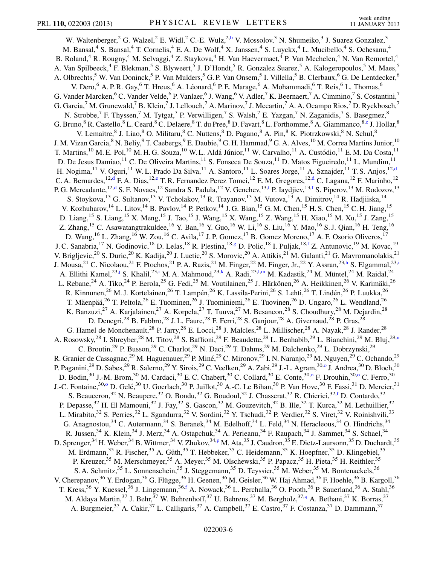<span id="page-5-10"></span><span id="page-5-9"></span><span id="page-5-8"></span><span id="page-5-7"></span><span id="page-5-6"></span><span id="page-5-5"></span><span id="page-5-4"></span><span id="page-5-3"></span><span id="page-5-2"></span><span id="page-5-1"></span><span id="page-5-0"></span>W. Waltenberger,<sup>2</sup> G. Walzel,<sup>2</sup> E. Widl,<sup>2</sup> C.-E. Wulz,<sup>2[,b](#page-14-0)</sup> V. Mossolov,<sup>3</sup> N. Shumeiko,<sup>3</sup> J. Suarez Gonzalez,<sup>3</sup> M. Bansal,<sup>4</sup> S. Bansal,<sup>4</sup> T. Cornelis,<sup>4</sup> E. A. De Wolf,<sup>4</sup> X. Janssen,<sup>4</sup> S. Luyckx,<sup>4</sup> L. Mucibello,<sup>4</sup> S. Ochesanu,<sup>4</sup> B. Roland,<sup>4</sup> R. Rougny,<sup>4</sup> M. Selvaggi,<sup>4</sup> Z. Staykova,<sup>4</sup> H. Van Haevermaet,<sup>4</sup> P. Van Mechelen,<sup>4</sup> N. Van Remortel,<sup>4</sup> A. Van Spilbeeck,<sup>4</sup> F. Blekman,<sup>5</sup> S. Blyweert,<sup>5</sup> J. D'Hondt,<sup>5</sup> R. Gonzalez Suarez,<sup>5</sup> A. Kalogeropoulos,<sup>5</sup> M. Maes,<sup>5</sup> A. Olbrechts,<sup>5</sup> W. Van Doninck,<sup>5</sup> P. Van Mulders,<sup>5</sup> G. P. Van Onsem,<sup>5</sup> I. Villella,<sup>5</sup> B. Clerbaux,<sup>6</sup> G. De Lentdecker,<sup>6</sup> V. Dero,<sup>6</sup> A. P. R. Gay,<sup>6</sup> T. Hreus,<sup>6</sup> A. Léonard,<sup>6</sup> P. E. Marage,<sup>6</sup> A. Mohammadi,<sup>6</sup> T. Reis,<sup>6</sup> L. Thomas,<sup>6</sup> G. Vander Marcken, <sup>6</sup> C. Vander Velde, <sup>6</sup> P. Vanlaer, <sup>6</sup> J. Wang, <sup>6</sup> V. Adler, <sup>7</sup> K. Beernaert, <sup>7</sup> A. Cimmino, <sup>7</sup> S. Costantini, <sup>7</sup> G. Garcia,<sup>7</sup> M. Grunewald,<sup>7</sup> B. Klein,<sup>7</sup> J. Lellouch,<sup>7</sup> A. Marinov,<sup>7</sup> J. Mccartin,<sup>7</sup> A. A. Ocampo Rios,<sup>7</sup> D. Ryckbosch,<sup>7</sup> N. Strobbe,<sup>7</sup> F. Thyssen,<sup>7</sup> M. Tytgat,<sup>7</sup> P. Verwilligen,<sup>7</sup> S. Walsh,<sup>7</sup> E. Yazgan,<sup>7</sup> N. Zaganidis,<sup>7</sup> S. Basegmez,<sup>8</sup> G. Bruno, <sup>8</sup> R. Castello, <sup>8</sup> L. Ceard, <sup>8</sup> C. Delaere, <sup>8</sup> T. du Pree, <sup>8</sup> D. Favart, <sup>8</sup> L. Forthomme, <sup>8</sup> A. Giamman[c](#page-14-2)o, <sup>8,c</sup> J. Hollar, <sup>8</sup> V. Lemaitre,<sup>8</sup> J. Liao,<sup>8</sup> O. Militaru,<sup>8</sup> C. Nuttens,<sup>8</sup> D. Pagano,<sup>8</sup> A. Pin,<sup>8</sup> K. Piotrzkowski,<sup>8</sup> N. Schul,<sup>8</sup> J. M. Vizan Garcia, <sup>8</sup> N. Beliy, <sup>9</sup> T. Caebergs, <sup>9</sup> E. Daubie, <sup>9</sup> G. H. Hammad, <sup>9</sup> G. A. Alves, <sup>10</sup> M. Correa Martins Junior, <sup>10</sup> T. Martins,<sup>10</sup> M. E. Pol,<sup>10</sup> M. H. G. Souza,<sup>10</sup> W. L. Aldá Júnior,<sup>11</sup> W. Carvalho,<sup>11</sup> A. Custódio,<sup>11</sup> E. M. Da Costa,<sup>11</sup> D. De Jesus Damiao,<sup>11</sup> C. De Oliveira Martins,<sup>11</sup> S. Fonseca De Souza,<sup>11</sup> D. Matos Figueiredo,<sup>11</sup> L. Mundim,<sup>11</sup> H. Nogima,<sup>11</sup> V. Oguri,<sup>11</sup> W. L. Pra[d](#page-14-3)o Da Silva,<sup>11</sup> A. Santoro,<sup>11</sup> L. Soares Jorge,<sup>11</sup> A. Sznajder,<sup>11</sup> T. S. Anjos,<sup>12,d</sup> C. A. Bernardes,<sup>12[,d](#page-14-3)</sup> F. A. Dias,<sup>12[,e](#page-14-4)</sup> T. R. Fernan[d](#page-14-3)ez Perez Tomei,<sup>12</sup> E. M. Gregores,<sup>12,d</sup> C. Lagana,<sup>12</sup> F. Marinho,<sup>12</sup> P. G. Merca[d](#page-14-3)ante,<sup>12,d</sup> S. F. Novaes,<sup>12</sup> Sandra S. Padula,<sup>12</sup> V. Genchev,<sup>13,[f](#page-14-5)</sup> P. Iaydjiev,<sup>13,f</sup> S. Piperov,<sup>13</sup> M. Rodozov,<sup>13</sup> S. Stoykova,<sup>13</sup> G. Sultanov,<sup>13</sup> V. Tcholakov,<sup>13</sup> R. Trayanov,<sup>13</sup> M. Vutova,<sup>13</sup> A. Dimitrov,<sup>14</sup> R. Hadjiiska,<sup>14</sup> V. Kozhuharov,<sup>14</sup> L. Litov,<sup>14</sup> B. Pavlov,<sup>14</sup> P. Petkov,<sup>14</sup> J. G. Bian,<sup>15</sup> G. M. Chen,<sup>15</sup> H. S. Chen,<sup>15</sup> C. H. Jiang,<sup>15</sup> D. Liang, <sup>15</sup> S. Liang, <sup>15</sup> X. Meng, <sup>15</sup> J. Tao, <sup>15</sup> J. Wang, <sup>15</sup> X. Wang, <sup>15</sup> Z. Wang, <sup>15</sup> H. Xiao, <sup>15</sup> M. Xu, <sup>15</sup> J. Zang, <sup>15</sup> Z. Zhang,<sup>15</sup> C. Asawatangtrakuldee,<sup>16</sup> Y. Ban,<sup>16</sup> Y. Guo,<sup>16</sup> W. Li,<sup>16</sup> S. Liu,<sup>16</sup> Y. Mao,<sup>16</sup> S. J. Qian,<sup>16</sup> H. Teng,<sup>16</sup> D. Wang,<sup>16</sup> L. Zhang,<sup>16</sup> W. Zou,<sup>16</sup> C. Avila,<sup>17</sup> J. P. Gomez,<sup>17</sup> B. Gomez Moreno,<sup>17</sup> A. F. Osorio Oliveros,<sup>17</sup> J. C. Sanabria,17 N. Godinovic,18 D. Lelas,<sup>18</sup> R. Plestina,18[,g](#page-14-6) D. Polic,<sup>18</sup> I. Puljak,18,[f](#page-14-5) Z. Antunovic,19 M. Kovac,19 V. Brigljevic,<sup>20</sup> S. Duric,<sup>20</sup> K. Kadija,<sup>20</sup> J. Luetic,<sup>20</sup> S. Morovic,<sup>20</sup> A. Attikis,<sup>21</sup> M. Galanti,<sup>21</sup> G. Mavromanolakis,<sup>21</sup> J. Mousa,<sup>21</sup> C. Nicolaou,<sup>21</sup> F. Ptochos,<sup>21</sup> P. A. Razis,<sup>21</sup> M. Finger,<sup>22</sup> M. Finger, Jr.,<sup>22</sup> Y. Assran,<sup>23[,h](#page-14-7)</sup> S. Elgammal,<sup>23,[i](#page-14-8)</sup> A. Ellithi Kamel,<sup>23,[j](#page-14-9)</sup> S. Khalil,<sup>23,j</sup> M. A. Mahmoud,<sup>23[,k](#page-14-10)</sup> A. Radi,<sup>23,[l,](#page-14-11)[m](#page-14-12)</sup> M. Kadastik,<sup>24</sup> M. Müntel,<sup>24</sup> M. Raidal,<sup>24</sup> L. Rebane,<sup>24</sup> A. Tiko,<sup>24</sup> P. Eerola,<sup>25</sup> G. Fedi,<sup>25</sup> M. Voutilainen,<sup>25</sup> J. Härkönen,<sup>26</sup> A. Heikkinen,<sup>26</sup> V. Karimäki,<sup>26</sup> R. Kinnunen,<sup>26</sup> M. J. Kortelainen,<sup>26</sup> T. Lampén,<sup>26</sup> K. Lassila-Perini,<sup>26</sup> S. Lehti,<sup>26</sup> T. Lindén,<sup>26</sup> P. Luukka,<sup>26</sup> T. Mäenpää,<sup>26</sup> T. Peltola,<sup>26</sup> E. Tuominen,<sup>26</sup> J. Tuominiemi,<sup>26</sup> E. Tuovinen,<sup>26</sup> D. Ungaro,<sup>26</sup> L. Wendland,<sup>26</sup> K. Banzuzi,<sup>27</sup> A. Karjalainen,<sup>27</sup> A. Korpela,<sup>27</sup> T. Tuuva,<sup>27</sup> M. Besancon,<sup>28</sup> S. Choudhury,<sup>28</sup> M. Dejardin,<sup>28</sup> D. Denegri,<sup>28</sup> B. Fabbro,<sup>28</sup> J. L. Faure,<sup>28</sup> F. Ferri,<sup>28</sup> S. Ganjour,<sup>28</sup> A. Givernaud,<sup>28</sup> P. Gras,<sup>28</sup> G. Hamel de Monchenault,<sup>28</sup> P. Jarry,<sup>28</sup> E. Locci,<sup>28</sup> J. Malcles,<sup>28</sup> L. Millischer,<sup>28</sup> A. Nayak,<sup>28</sup> J. Rander,<sup>28</sup> A. Rosowsky,<sup>28</sup> I. Shreyber,<sup>28</sup> M. Titov,<sup>28</sup> S. Baffioni,<sup>29</sup> F. Beaudette,<sup>29</sup> L. Benhabib,<sup>29</sup> L. Bianchini,<sup>29</sup> M. Bluj,<sup>29[,n](#page-14-13)</sup> C. Broutin,<sup>29</sup> P. Busson,<sup>29</sup> C. Charlot,<sup>29</sup> N. Daci,<sup>29</sup> T. Dahms,<sup>29</sup> M. Dalchenko,<sup>29</sup> L. Dobrzynski,<sup>29</sup> R. Granier de Cassagnac,<sup>29</sup> M. Haguenauer,<sup>29</sup> P. Miné,<sup>29</sup> C. Mironov,<sup>29</sup> I. N. Naranjo,<sup>29</sup> M. Nguyen,<sup>29</sup> C. Ochando,<sup>29</sup> P. Paganini,<sup>29</sup> D. Sabes,<sup>29</sup> R. Salern[o](#page-14-14),<sup>29</sup> Y. Sirois,<sup>29</sup> C. Veelken,<sup>29</sup> A. Zabi,<sup>29</sup> J.-L. Agram,<sup>30,o</sup> J. Andrea,<sup>30</sup> D. Bloch,<sup>30</sup> D. B[o](#page-14-14)din,<sup>30</sup> J.-M. Brom,<sup>30</sup> M. Cardaci,<sup>30</sup> E. C. Chabert,<sup>30</sup> C. Collard,<sup>30</sup> E. Conte,<sup>30[,o](#page-14-14)</sup> F. Drouhin,<sup>30,o</sup> C. Ferro,<sup>30</sup> J.-C. Fontaine, <sup>30[,o](#page-14-14)</sup> D. Gelé, <sup>30</sup> U. Goerlach, <sup>30</sup> P. Juillot, <sup>30</sup> A.-C. Le Bihan, <sup>30</sup> P. Van Hove, <sup>30</sup> F. Fassi, <sup>31</sup> D. Mercier, <sup>31</sup> S. Beauceron,<sup>32</sup> N. Beaupere,<sup>32</sup> O. Bondu,<sup>32</sup> G. Boudoul,<sup>32</sup> J. Chasserat,<sup>32</sup> R. Chierici,<sup>32,[f](#page-14-5)</sup> D. Contardo,<sup>32</sup> P. Depasse,<sup>32</sup> H. El Mamouni,<sup>32</sup> J. Fay,<sup>32</sup> S. Gascon,<sup>32</sup> M. Gouzevitch,<sup>32</sup> B. Ille,<sup>32</sup> T. Kurca,<sup>32</sup> M. Lethuillier,<sup>32</sup> L. Mirabito,<sup>32</sup> S. Perries,<sup>32</sup> L. Sgandurra,<sup>32</sup> V. Sordini,<sup>32</sup> Y. Tschudi,<sup>32</sup> P. Verdier,<sup>32</sup> S. Viret,<sup>32</sup> V. Roinishvili,<sup>33</sup> G. Anagnostou,<sup>34</sup> C. Autermann,<sup>34</sup> S. Beranek,<sup>34</sup> M. Edelhoff,<sup>34</sup> L. Feld,<sup>34</sup> N. Heracleous,<sup>34</sup> O. Hindrichs,<sup>34</sup> R. Jussen,<sup>34</sup> K. Klein,<sup>34</sup> J. Merz,<sup>34</sup> A. Ostapchuk,<sup>34</sup> A. Perieanu,<sup>34</sup> F. Raupach,<sup>34</sup> J. Sammet,<sup>34</sup> S. Schael,<sup>34</sup> D. S[p](#page-14-15)renger,<sup>34</sup> H. Weber,<sup>34</sup> B. Wittmer,<sup>34</sup> V. Zhukov,<sup>34,p</sup> M. Ata,<sup>35</sup> J. Caudron,<sup>35</sup> E. Dietz-Laursonn,<sup>35</sup> D. Duchardt,<sup>35</sup> M. Erdmann,<sup>35</sup> R. Fischer,<sup>35</sup> A. Güth,<sup>35</sup> T. Hebbeker,<sup>35</sup> C. Heidemann,<sup>35</sup> K. Hoepfner,<sup>35</sup> D. Klingebiel,<sup>35</sup> P. Kreuzer,<sup>35</sup> M. Merschmeyer,<sup>35</sup> A. Meyer,<sup>35</sup> M. Olschewski,<sup>35</sup> P. Papacz,<sup>35</sup> H. Pieta,<sup>35</sup> H. Reithler,<sup>35</sup> S. A. Schmitz,<sup>35</sup> L. Sonnenschein,<sup>35</sup> J. Steggemann,<sup>35</sup> D. Teyssier,<sup>35</sup> M. Weber,<sup>35</sup> M. Bontenackels,<sup>36</sup> V. Cherepanov,<sup>36</sup> Y. Erdogan,<sup>36</sup> G. Flügge,<sup>36</sup> H. Geenen,<sup>36</sup> M. Geisler,<sup>36</sup> W. Haj Ahmad,<sup>36</sup> F. Hoehle,<sup>36</sup> B. Kargoll,<sup>36</sup> T. Kress,<sup>36</sup> Y. Kuessel,<sup>36</sup> J. Lingemann,<sup>36,[f](#page-14-5)</sup> A. Nowack,<sup>36</sup> L. Perchalla,<sup>36</sup> O. Pooth,<sup>36</sup> P. Sauerland,<sup>36</sup> A. Stahl,<sup>36</sup> M. Aldaya Martin, <sup>37</sup> J. Behr, <sup>37</sup> W. Behrenhoff, <sup>37</sup> U. Behrens, <sup>37</sup> M. Bergholz, <sup>37,[q](#page-14-16)</sup> A. Bethani, <sup>37</sup> K. Borras, <sup>37</sup> A. Burgmeier,<sup>37</sup> A. Cakir,<sup>37</sup> L. Calligaris,<sup>37</sup> A. Campbell,<sup>37</sup> E. Castro,<sup>37</sup> F. Costanza,<sup>37</sup> D. Dammann,<sup>37</sup>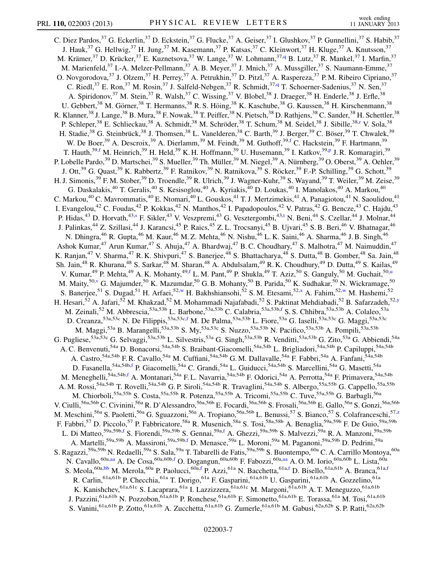<span id="page-6-8"></span><span id="page-6-7"></span><span id="page-6-6"></span><span id="page-6-5"></span><span id="page-6-4"></span><span id="page-6-3"></span><span id="page-6-2"></span><span id="page-6-1"></span><span id="page-6-0"></span>C. Diez Pardos,<sup>37</sup> G. Eckerlin,<sup>37</sup> D. Eckstein,<sup>37</sup> G. Flucke,<sup>37</sup> A. Geiser,<sup>37</sup> I. Glushkov,<sup>37</sup> P. Gunnellini,<sup>37</sup> S. Habib,<sup>37</sup> J. Hauk,<sup>37</sup> G. Hellwig,<sup>37</sup> H. Jung,<sup>37</sup> M. Kasemann,<sup>37</sup> P. Katsas,<sup>37</sup> C. Kleinwort,<sup>37</sup> H. Kluge,<sup>37</sup> A. Knutsson,<sup>37</sup> M. Krämer,<sup>37</sup> D. Krücker,<sup>37</sup> E. Kuznetsova,<sup>37</sup> W. Lange,<sup>37</sup> W. Lohmann,<sup>37[,q](#page-14-16)</sup> B. Lutz,<sup>37</sup> R. Mankel,<sup>37</sup> I. Marfin,<sup>37</sup> M. Marienfeld,<sup>37</sup> I.-A. Melzer-Pellmann,<sup>37</sup> A. B. Meyer,<sup>37</sup> J. Mnich,<sup>37</sup> A. Mussgiller,<sup>37</sup> S. Naumann-Emme,<sup>37</sup> O. Novgorodova,<sup>37</sup> J. Olzem,<sup>37</sup> H. Perrey,<sup>37</sup> A. Petrukhin,<sup>37</sup> D. Pitzl,<sup>37</sup> A. Raspereza,<sup>37</sup> P.M. Ribeiro Cipriano,<sup>37</sup> C. Riedl,<sup>37</sup> E. Ron,<sup>37</sup> M. Rosin,<sup>37</sup> J. Salfeld-Nebgen,<sup>37</sup> R. Schmidt,<sup>37[,q](#page-14-16)</sup> T. Schoerner-Sadenius,<sup>37</sup> N. Sen,<sup>37</sup> A. Spiridonov,<sup>37</sup> M. Stein,<sup>37</sup> R. Walsh,<sup>37</sup> C. Wissing,<sup>37</sup> V. Blobel,<sup>38</sup> J. Draeger,<sup>38</sup> H. Enderle,<sup>38</sup> J. Erfle,<sup>38</sup> U. Gebbert,<sup>38</sup> M. Görner,<sup>38</sup> T. Hermanns,<sup>38</sup> R. S. Höing,<sup>38</sup> K. Kaschube,<sup>38</sup> G. Kaussen,<sup>38</sup> H. Kirschenmann,<sup>38</sup> R. Klanner,<sup>38</sup> J. Lange,<sup>38</sup> B. Mura,<sup>38</sup> F. Nowak,<sup>38</sup> T. Peiffer,<sup>38</sup> N. Pietsch,<sup>38</sup> D. Rathjens,<sup>38</sup> C. Sander,<sup>38</sup> H. Schettler,<sup>38</sup> P. Schleper,<sup>38</sup> E. Schlieckau,<sup>38</sup> A. Schmidt,<sup>38</sup> M. Schröder,<sup>38</sup> T. Schum,<sup>38</sup> M. Seidel,<sup>38</sup> J. Sibille,<sup>38[,r](#page-14-17)</sup> V. Sola,<sup>38</sup> H. Stadie,<sup>38</sup> G. Steinbrück,<sup>38</sup> J. Thomsen,<sup>38</sup> L. Vanelderen,<sup>38</sup> C. Barth,<sup>39</sup> J. Berger,<sup>39</sup> C. Böser,<sup>39</sup> T. Chwalek,<sup>39</sup> W. De Boer,<sup>39</sup> A. Descroix,<sup>39</sup> A. Dierlamm,<sup>39</sup> M. Feindt,<sup>39</sup> M. Gutho[f](#page-14-5)f,<sup>39,f</sup> C. Hackstein,<sup>39</sup> F. Hartmann,<sup>39</sup> T. Hauth,  $39, f$  M. Heinrich,  $39$  H. Held,  $39$  K. H. Hoffmann,  $39$  U. Husemann,  $39$  I. Katkov,  $39, p$  J. R. Komaragiri,  $39$ P. Lobelle Pardo,<sup>39</sup> D. Martschei,<sup>39</sup> S. Mueller,<sup>39</sup> Th. Müller,<sup>39</sup> M. Niegel,<sup>39</sup> A. Nürnberg,<sup>39</sup> O. Oberst,<sup>39</sup> A. Oehler,<sup>39</sup> J. Ott,<sup>39</sup> G. Quast,<sup>39</sup> K. Rabbertz,<sup>39</sup> F. Ratnikov,<sup>39</sup> N. Ratnikova,<sup>39</sup> S. Röcker,<sup>39</sup> F.-P. Schilling,<sup>39</sup> G. Schott,<sup>39</sup> H. J. Simonis,<sup>39</sup> F. M. Stober,<sup>39</sup> D. Troendle,<sup>39</sup> R. Ulrich,<sup>39</sup> J. Wagner-Kuhr,<sup>39</sup> S. Wayand,<sup>39</sup> T. Weiler,<sup>39</sup> M. Zeise,<sup>39</sup> G. Daskalakis,<sup>40</sup> T. Geralis,<sup>40</sup> S. Kesisoglou,<sup>40</sup> A. Kyriakis,<sup>40</sup> D. Loukas,<sup>40</sup> I. Manolakos,<sup>40</sup> A. Markou,<sup>40</sup> C. Markou,<sup>40</sup> C. Mavrommatis,<sup>40</sup> E. Ntomari,<sup>40</sup> L. Gouskos,<sup>41</sup> T. J. Mertzimekis,<sup>41</sup> A. Panagiotou,<sup>41</sup> N. Saoulidou,<sup>41</sup> I. Evangelou,<sup>42</sup> C. Foudas,<sup>42</sup> P. Kokkas,<sup>42</sup> N. Manthos,<sup>42</sup> I. Papadopoulos,<sup>42</sup> V. Patras,<sup>42</sup> G. Bencze,<sup>43</sup> C. Hajdu,<sup>43</sup> P. Hidas,<sup>43</sup> D. Horvath,<sup>43[,s](#page-14-18)</sup> F. Sikler,<sup>43</sup> V. Veszpremi,<sup>43</sup> G. Vesztergombi,<sup>43[,t](#page-14-19)</sup> N. Beni,<sup>44</sup> S. Czellar,<sup>44</sup> J. Molnar,<sup>44</sup> J. Palinkas,<sup>44</sup> Z. Szillasi,<sup>44</sup> J. Karancsi,<sup>45</sup> P. Raics,<sup>45</sup> Z. L. Trocsanyi,<sup>45</sup> B. Ujvari,<sup>45</sup> S. B. Beri,<sup>46</sup> V. Bhatnagar,<sup>46</sup> N. Dhingra, <sup>46</sup> R. Gupta, <sup>46</sup> M. Kaur, <sup>46</sup> M. Z. Mehta, <sup>46</sup> N. Nishu, <sup>46</sup> L. K. Saini, <sup>46</sup> A. Sharma, <sup>46</sup> J. B. Singh, <sup>46</sup> Ashok Kumar,<sup>47</sup> Arun Kumar,<sup>47</sup> S. Ahuja,<sup>47</sup> A. Bhardwaj,<sup>47</sup> B. C. Choudhary,<sup>47</sup> S. Malhotra,<sup>47</sup> M. Naimuddin,<sup>47</sup> K. Ranjan,<sup>47</sup> V. Sharma,<sup>47</sup> R. K. Shivpuri,<sup>47</sup> S. Banerjee,<sup>48</sup> S. Bhattacharya,<sup>48</sup> S. Dutta,<sup>48</sup> B. Gomber,<sup>48</sup> Sa. Jain,<sup>48</sup> Sh. Jain,<sup>48</sup> R. Khurana,<sup>48</sup> S. Sarkar,<sup>48</sup> M. Sharan,<sup>48</sup> A. Abdulsalam,<sup>49</sup> R. K. Choudhury,<sup>49</sup> D. Dutta,<sup>49</sup> S. Kailas,<sup>49</sup> V. Kumar,<sup>49</sup> P. Mehta,<sup>49</sup> A. K. Mohanty,<sup>49,[f](#page-14-5)</sup> L. M. Pant,<sup>49</sup> P. Shukla,<sup>49</sup> T. Aziz,<sup>50</sup> S. Ganguly,<sup>50</sup> M. Guchait,<sup>50[,u](#page-14-20)</sup> M. Maity,<sup>50[,v](#page-14-21)</sup> G. Majumder,<sup>50</sup> K. Mazumdar,<sup>50</sup> G. B. Mohanty,<sup>50</sup> B. Parida,<sup>50</sup> K. Sudhakar,<sup>50</sup> N. Wickramage,<sup>50</sup> S. Banerjee,<sup>51</sup> S. Dugad,<sup>51</sup> H. Arfaei,<sup>52[,w](#page-14-22)</sup> H. Bakhshiansohi,<sup>52</sup> S. M. Etesami,<sup>52,[x](#page-14-23)</sup> A. Fahim,<sup>52,[w](#page-14-22)</sup> M. Hashemi,<sup>52</sup> H. Hesari,<sup>52</sup> A. Jafari,<sup>52</sup> M. Khakzad,<sup>52</sup> M. Mohammadi Najafabadi,<sup>52</sup> S. Paktinat Mehdiabadi,<sup>52</sup> B. Safarzadeh,<sup>52[,y](#page-14-24)</sup> M. Zeinali,<sup>52</sup> M. Abbrescia,<sup>53a,53b</sup> L. Barbone,<sup>53a,53b</sup> C. Calabria,<sup>53a,53b[,f](#page-14-5)</sup> S. S. Chhibra,<sup>53a,53b</sup> A. Colaleo,<sup>53a</sup> D. Creanza,<sup>53a,53c</sup> N. De Filippis,<sup>53a,53c[,f](#page-14-5)</sup> M. De Palma,<sup>53a,53b</sup> L. Fiore,<sup>53a</sup> G. Iaselli,<sup>53a,53c</sup> G. Maggi,<sup>53a,53c</sup> M. Maggi,<sup>53a</sup> B. Marangelli,<sup>53a,53b</sup> S. My,<sup>53a,53c</sup> S. Nuzzo,<sup>53a,53b</sup> N. Pacifico,<sup>53a,53b</sup> A. Pompili,<sup>53a,53b</sup> G. Pugliese,<sup>53a,53c</sup> G. Selvaggi,<sup>53a,53b</sup> L. Silvestris,<sup>53a</sup> G. Singh,<sup>53a,53b</sup> R. Venditti,<sup>53a,53b</sup> G. Zito,<sup>53a</sup> G. Abbiendi,<sup>54a</sup> A. C. Benvenuti,<sup>54a</sup> D. Bonacorsi,<sup>54a,54b</sup> S. Braibant-Giacomelli,<sup>54a,54b</sup> L. Brigliadori,<sup>54a,54b</sup> P. Capiluppi,<sup>54a,54b</sup> A. Castro,<sup>54a,54b</sup> F. R. Cavallo,<sup>54a</sup> M. Cuffiani,<sup>54a,54b</sup> G. M. Dallavalle,<sup>54a</sup> F. Fabbri,<sup>54a</sup> A. Fanfani,<sup>54a,54b</sup> D. Fasanella,<sup>54a,54b,[f](#page-14-5)</sup> P. Giacomelli,<sup>54a</sup> C. Grandi,<sup>54a</sup> L. Guiducci,<sup>54a,54b</sup> S. Marcellini,<sup>54a</sup> G. Masetti,<sup>54a</sup> M. Meneghelli,<sup>54a,54b,[f](#page-14-5)</sup> A. Montanari,<sup>54a</sup> F.L. Navarria,<sup>54a,54b</sup> F. Odorici,<sup>54a</sup> A. Perrotta,<sup>54a</sup> F. Primavera,<sup>54a,54b</sup> A. M. Rossi,<sup>54a,54b</sup> T. Rovelli,<sup>54a,54b</sup> G. P. Siroli,<sup>54a,54b</sup> R. Travaglini,<sup>54a,54b</sup> S. Albergo,<sup>55a,55b</sup> G. Cappello,<sup>55a,55b</sup> M. Chiorboli,<sup>55a,55b</sup> S. Costa,<sup>55a,55b</sup> R. Potenza,<sup>55a,55b</sup> A. Tricomi,<sup>55a,55b</sup> C. Tuve,<sup>55a,55b</sup> G. Barbagli,<sup>56a</sup> V. Ciulli,<sup>56a,56b</sup> C. Civinini,<sup>56a</sup> R. D'Alessandro,<sup>56a,56b</sup> E. Focardi,<sup>56a,56b</sup> S. Frosali,<sup>56a,56b</sup> E. Gallo,<sup>56a</sup> S. Gonzi,<sup>56a,56b</sup> M. Meschini,<sup>56a</sup> S. Paoletti,<sup>56a</sup> G. Sgua[z](#page-14-25)zoni,<sup>56a</sup> A. Tropiano,<sup>56a,56b</sup> L. Benussi,<sup>57</sup> S. Bianco,<sup>57</sup> S. Colafranceschi,<sup>57,z</sup> F. Fabbri,<sup>57</sup> D. Piccolo,<sup>57</sup> P. Fabbricatore,<sup>58a</sup> R. Musenich,<sup>58a</sup> S. Tosi,<sup>58a,58b</sup> A. Benaglia,<sup>59a,59b</sup> F. De Guio,<sup>59a,59b</sup> L. Di Matteo,<sup>59a,59b[,f](#page-14-5)</sup> S. Fiorendi,<sup>59a,59b</sup> S. Gennai,<sup>59a,[f](#page-14-5)</sup> A. Ghezzi,<sup>59a,59b</sup> S. Malvezzi,<sup>59a</sup> R. A. Manzoni,<sup>59a,59b</sup> A. Martelli,<sup>59a,59b</sup> A. Massironi,<sup>59a,59b[,f](#page-14-5)</sup> D. Menasce,<sup>59a</sup> L. Moroni,<sup>59a</sup> M. Paganoni,<sup>59a,59b</sup> D. Pedrini,<sup>59a</sup> S. Ragazzi,<sup>59a,59b</sup> N. Redaelli,<sup>59a</sup> S. Sala,<sup>59a</sup> T. Tabarelli de Fatis,<sup>59a,59b</sup> S. Buontempo,<sup>60a</sup> C. A. Carrillo Montoya,<sup>60a</sup> N. Cavallo,<sup>60a[,aa](#page-14-26)</sup> A. De Cosa,<sup>60a,60b[,f](#page-14-5)</sup> O. Dogangun,<sup>60a,60b</sup> F. Fabozzi,<sup>60a,aa</sup> A. O. M. Iorio,<sup>60a,60b</sup> L. Lista,<sup>60a</sup> S. Meola,<sup>60a[,bb](#page-14-27)</sup> M. Merola,<sup>60a</sup> P. Paolucci,<sup>60a,[f](#page-14-5)</sup> P. Azzi,<sup>61a</sup> N. Bacchetta,<sup>61a[,f](#page-14-5)</sup> D. Bisello,<sup>61a,61b</sup> A. Branca,<sup>61a,f</sup> R. Carlin,<sup>61a,61b</sup> P. Checchia,<sup>61a</sup> T. Dorigo,<sup>61a</sup> F. Gasparini,<sup>61a,61b</sup> U. Gasparini,<sup>61a,61b</sup> A. Gozzelino,<sup>61a</sup> K. Kanishchev, <sup>61a,61c</sup> S. Lacaprara, <sup>61a</sup> I. Lazzizzera, <sup>61a,61c</sup> M. Margoni, <sup>61a,61b</sup> A. T. Meneguzzo, <sup>61a,61b</sup> J. Pazzini,<sup>61a,61b</sup> N. Pozzobon,<sup>61a,61b</sup> P. Ronchese,<sup>61a,61b</sup> F. Simonetto,<sup>61a,61b</sup> E. Torassa,<sup>61a</sup> M. Tosi,<sup>61a,61b</sup> S. Vanini,<sup>61a,61b</sup> P. Zotto,<sup>61a,61b</sup> A. Zucchetta,<sup>61a,61b</sup> G. Zumerle,<sup>61a,61b</sup> M. Gabusi,<sup>62a,62b</sup> S. P. Ratti,<sup>62a,62b</sup>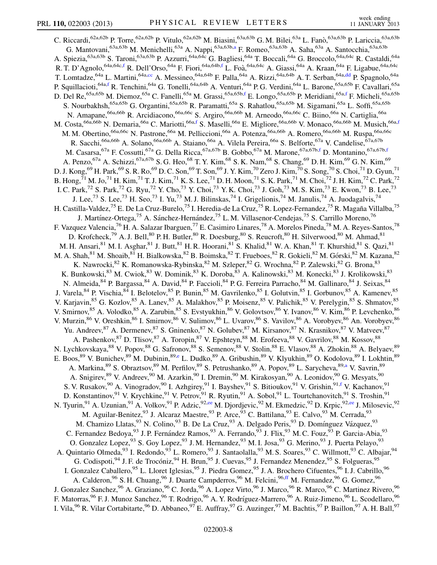<span id="page-7-2"></span><span id="page-7-1"></span><span id="page-7-0"></span>C. Riccardi, <sup>62a, 62b</sup> P. Torre, <sup>62a, 62b</sup> P. Vitulo, <sup>62a, 62b</sup> M. Biasini, <sup>63a, 63b</sup> G. M. Bilei, <sup>63a</sup> L. Fanò, <sup>63a, 63b</sup> P. Lariccia, <sup>63a, 63b</sup> G. M[a](#page-14-1)ntovani, <sup>63a,63b</sup> M. Menichelli, <sup>63a</sup> A. Nappi, <sup>63a,63b,a</sup> F. Romeo, <sup>63a,63b</sup> A. Saha, <sup>63a</sup> A. Santocchia, <sup>63a,63b</sup> A. Spiezia,<sup>63a,63b</sup> S. Taroni,<sup>63a,63b</sup> P. Azzurri,<sup>64a,64c</sup> G. Bagliesi,<sup>64a</sup> T. Boccali,<sup>64a</sup> G. Broccolo,<sup>64a,64c</sup> R. Castaldi,<sup>64a</sup> R. T. D'Agnolo,<sup>64a,64c[,f](#page-14-5)</sup> R. Dell'Orso,<sup>64a</sup> F. Fiori,<sup>64a,64b,[f](#page-14-5)</sup> L. Foà,<sup>64a,64c</sup> A. Giassi,<sup>64a</sup> A. Kraan,<sup>64a</sup> F. Ligabue,<sup>64a,64c</sup> T. Lomtadze,<sup>64a</sup> L. Martini,<sup>64a[,cc](#page-14-28)</sup> A. Messineo,<sup>64a,64b</sup> F. Palla,<sup>64a</sup> A. Rizzi,<sup>64a,64b</sup> A. T. Serban,<sup>64a,[dd](#page-14-29)</sup> P. Spagnolo,<sup>64a</sup> P. Squillacioti,<sup>64a[,f](#page-14-5)</sup> R. Tenchini,<sup>64a</sup> G. Tonelli,<sup>64a,64b</sup> A. Venturi,<sup>64a</sup> P. G. Verdini,<sup>64a</sup> L. Barone,<sup>65a,65b</sup> F. Cavallari,<sup>65a</sup> D. Del Re,<sup>65a,65b</sup> M. Diemoz,<sup>65a</sup> C. Fanelli,<sup>65a</sup> M. Grassi,<sup>65a,65b,[f](#page-14-5)</sup> E. Longo,<sup>65a,65b</sup> P. Meridiani,<sup>65a[,f](#page-14-5)</sup> F. Micheli,<sup>65a,65b</sup> S. Nourbakhsh,<sup>65a,65b</sup> G. Organtini,<sup>65a,65b</sup> R. Paramatti,<sup>65a</sup> S. Rahatlou,<sup>65a,65b</sup> M. Sigamani,<sup>65a</sup> L. Soffi,<sup>65a,65b</sup> N. Amapane,<sup>66a,66b</sup> R. Arcidiacono,<sup>66a,66c</sup> S. Argiro,<sup>66a,66b</sup> M. Arneodo,<sup>66a,66c</sup> C. Biino,<sup>66a</sup> N. Cartiglia,<sup>66a</sup> M. Costa,<sup>66a,66b</sup> N. Demaria,<sup>66a</sup> C. Mariotti,<sup>66a[,f](#page-14-5)</sup> S. Maselli,<sup>66a</sup> E. Migliore,<sup>66a,66b</sup> V. Monaco,<sup>66a,66b</sup> M. Musich,<sup>66a,f</sup> M. M. Obertino,<sup>66a,66c</sup> N. Pastrone,<sup>66a</sup> M. Pelliccioni,<sup>66a</sup> A. Potenza,<sup>66a,66b</sup> A. Romero,<sup>66a,66b</sup> M. Ruspa,<sup>66a,66c</sup> R. Sacchi,<sup>66a,66b</sup> A. Solano,<sup>66a,66b</sup> A. Staiano,<sup>66a</sup> A. Vilela Pereira,<sup>66a</sup> S. Belforte,<sup>67a</sup> V. Candelise,<sup>67a,67b</sup> M. Casarsa,<sup>67a</sup> F. Cossutti,<sup>67a</sup> G. Della Ricca,<sup>67a,67b</sup> B. Gobbo,<sup>67a</sup> M. Marone,<sup>67a,67b[,f](#page-14-5)</sup> D. Montanino,<sup>67a,67b,f</sup> A. Penzo,<sup>67a</sup> A. Schizzi,<sup>67a,67b</sup> S. G. Heo,<sup>68</sup> T. Y. Kim,<sup>68</sup> S. K. Nam,<sup>68</sup> S. Chang,<sup>69</sup> D. H. Kim,<sup>69</sup> G. N. Kim,<sup>69</sup> D. J. Kong, $^{69}$  H. Park, $^{69}$  S. R. Ro, $^{69}$  D. C. Son, $^{69}$  T. Son, $^{69}$  J. Y. Kim, $^{70}$  Zero J. Kim, $^{70}$  S. Song, $^{70}$  S. Choi, $^{71}$  D. Gyun, $^{71}$ B. Hong,<sup>71</sup> M. Jo,<sup>71</sup> H. Kim,<sup>71</sup> T. J. Kim,<sup>71</sup> K. S. Lee,<sup>71</sup> D. H. Moon,<sup>71</sup> S. K. Park,<sup>71</sup> M. Choi,<sup>72</sup> J. H. Kim,<sup>72</sup> C. Park,<sup>72</sup> I. C. Park,<sup>72</sup> S. Park,<sup>72</sup> G. Ryu,<sup>72</sup> Y. Cho,<sup>73</sup> Y. Choi,<sup>73</sup> Y. K. Choi,<sup>73</sup> J. Goh,<sup>73</sup> M. S. Kim,<sup>73</sup> E. Kwon,<sup>73</sup> B. Lee,<sup>73</sup> J. Lee,<sup>73</sup> S. Lee,<sup>73</sup> H. Seo,<sup>73</sup> I. Yu,<sup>73</sup> M. J. Bilinskas,<sup>74</sup> I. Grigelionis,<sup>74</sup> M. Janulis,<sup>74</sup> A. Juodagalvis,<sup>74</sup> H. Castilla-Valdez,<sup>75</sup> E. De La Cruz-Burelo,<sup>75</sup> I. Heredia-de La Cruz,<sup>75</sup> R. Lopez-Fernandez,<sup>75</sup> R. Magaña Villalba,<sup>75</sup> J. Martínez-Ortega,<sup>75</sup> A. Sánchez-Hernández,<sup>75</sup> L. M. Villasenor-Cendejas,<sup>75</sup> S. Carrillo Moreno,<sup>76</sup> F. Vazquez Valencia,<sup>76</sup> H. A. Salazar Ibarguen,<sup>77</sup> E. Casimiro Linares,<sup>78</sup> A. Morelos Pineda,<sup>78</sup> M. A. Reyes-Santos,<sup>78</sup> D. Krofcheck,<sup>79</sup> A. J. Bell,<sup>80</sup> P. H. Butler,<sup>80</sup> R. Doesburg,<sup>80</sup> S. Reucroft,<sup>80</sup> H. Silverwood,<sup>80</sup> M. Ahmad,<sup>81</sup> M. H. Ansari, <sup>81</sup> M. I. Asghar, <sup>81</sup> J. Butt, <sup>81</sup> H. R. Hoorani, <sup>81</sup> S. Khalid, <sup>81</sup> W. A. Khan, <sup>81</sup> T. Khurshid, <sup>81</sup> S. Qazi, <sup>81</sup> M. A. Shah, <sup>81</sup> M. Shoaib, <sup>81</sup> H. Bialkowska, <sup>82</sup> B. Boimska, <sup>82</sup> T. Frueboes, <sup>82</sup> R. Gokieli, <sup>82</sup> M. Górski, <sup>82</sup> M. Kazana, <sup>82</sup> K. Nawrocki, <sup>82</sup> K. Romanowska-Rybinska, <sup>82</sup> M. Szleper, <sup>82</sup> G. Wrochna, <sup>82</sup> P. Zalewski, <sup>82</sup> G. Brona, <sup>83</sup> K. Bunkowski, <sup>83</sup> M. Cwiok, <sup>83</sup> W. Dominik, <sup>83</sup> K. Doroba, <sup>83</sup> A. Kalinowski, <sup>83</sup> M. Konecki, <sup>83</sup> J. Krolikowski, <sup>83</sup> N. Almeida, <sup>84</sup> P. Bargassa, <sup>84</sup> A. David, <sup>84</sup> P. Faccioli, <sup>84</sup> P. G. Ferreira Parracho, <sup>84</sup> M. Gallinaro, <sup>84</sup> J. Seixas, <sup>84</sup> J. Varela, <sup>84</sup> P. Vischia, <sup>84</sup> I. Belotelov, <sup>85</sup> P. Bunin, <sup>85</sup> M. Gavrilenko, <sup>85</sup> I. Golutvin, <sup>85</sup> I. Gorbunov, <sup>85</sup> A. Kamenev, <sup>85</sup> V. Karjavin, <sup>85</sup> G. Kozlov, <sup>85</sup> A. Lanev, <sup>85</sup> A. Malakhov, <sup>85</sup> P. Moisenz, <sup>85</sup> V. Palichik, <sup>85</sup> V. Perelygin, <sup>85</sup> S. Shmatov, <sup>85</sup> V. Smirnov, <sup>85</sup> A. Volodko, <sup>85</sup> A. Zarubin, <sup>85</sup> S. Evstyukhin, <sup>86</sup> V. Golovtsov, <sup>86</sup> Y. Ivanov, <sup>86</sup> V. Kim, <sup>86</sup> P. Levchenko, <sup>86</sup> V. Murzin,<sup>86</sup> V. Oreshkin,<sup>86</sup> I. Smirnov,<sup>86</sup> V. Sulimov,<sup>86</sup> L. Uvarov,<sup>86</sup> S. Vavilov,<sup>86</sup> A. Vorobyev,<sup>86</sup> An. Vorobyev,<sup>86</sup> Yu. Andreev, <sup>87</sup> A. Dermenev, <sup>87</sup> S. Gninenko, <sup>87</sup> N. Golubev, <sup>87</sup> M. Kirsanov, <sup>87</sup> N. Krasnikov, <sup>87</sup> V. Matveev, <sup>87</sup> A. Pashenkov,  $87$  D. Tlisov,  $87$  A. Toropin,  $87$  V. Epshteyn,  $88$  M. Erofeeva,  $88$  V. Gavrilov,  $88$  M. Kossov,  $88$ N. Lychkovskaya,<sup>88</sup> V. Popov,<sup>88</sup> G. Safronov,<sup>88</sup> S. Semenov,<sup>88</sup> V. Stolin,<sup>88</sup> E. Vlasov,<sup>88</sup> A. Zhokin,<sup>88</sup> A. Belyaev,<sup>89</sup> E. Boos,<sup>89</sup> V. Bunichev,<sup>89</sup> M. Dubinin,<sup>89[,e](#page-14-4)</sup> L. Dudko,<sup>89</sup> A. Gribushin,<sup>89</sup> V. Klyukhin,<sup>89</sup> O. Kodolova,<sup>89</sup> I. Lokhtin,<sup>89</sup> A. Markina, <sup>89</sup> S. Obraztsov, <sup>89</sup> M. Perfilov, <sup>89</sup> S. Petrushanko, <sup>89</sup> A. Popov, <sup>89</sup> L. Sarycheva, <sup>89[,a](#page-14-1)</sup> V. Savrin, <sup>89</sup> A. Snigirev, <sup>89</sup> V. Andreev, <sup>90</sup> M. Azarkin, <sup>90</sup> I. Dremin, <sup>90</sup> M. Kirakosyan, <sup>90</sup> A. Leonidov, <sup>90</sup> G. Mesyats, <sup>90</sup> S. V. Rusakov, <sup>90</sup> A. Vinogradov, <sup>90</sup> I. Azhgirey, <sup>91</sup> I. Bayshev, <sup>91</sup> S. Bitioukov, <sup>91</sup> V. Grishin, <sup>91, [f](#page-14-5)</sup> V. Kachanov, <sup>91</sup> D. Konstantinov,<sup>91</sup> V. Krychkine,<sup>91</sup> V. Petrov,<sup>91</sup> R. Ryutin,<sup>91</sup> A. Sobol,<sup>91</sup> L. Tourtchanovitch,<sup>91</sup> S. Troshin,<sup>91</sup> N. Tyurin, <sup>91</sup> A. Uzunian, <sup>91</sup> A. Volkov, <sup>91</sup> P. Adzic, <sup>92[,ee](#page-14-30)</sup> M. Djordjevic, <sup>92</sup> M. Ekmedzic, <sup>92</sup> D. Krpic, <sup>92,[ee](#page-14-30)</sup> J. Milosevic, <sup>92</sup> M. Aguilar-Benitez,<sup>93</sup> J. Alcaraz Maestre,<sup>93</sup> P. Arce,<sup>93</sup> C. Battilana,<sup>93</sup> E. Calvo,<sup>93</sup> M. Cerrada,<sup>93</sup> M. Chamizo Llatas, <sup>93</sup> N. Colino, <sup>93</sup> B. De La Cruz, <sup>93</sup> A. Delgado Peris, <sup>93</sup> D. Domínguez Vázquez, <sup>93</sup> C. Fernandez Bedoya, <sup>93</sup> J. P. Fernández Ramos, <sup>93</sup> A. Ferrando, <sup>93</sup> J. Flix, <sup>93</sup> M. C. Fouz, <sup>93</sup> P. Garcia-Abia, <sup>93</sup> O. Gonzalez Lopez, <sup>93</sup> S. Goy Lopez, <sup>93</sup> J. M. Hernandez, <sup>93</sup> M. I. Josa, <sup>93</sup> G. Merino, <sup>93</sup> J. Puerta Pelayo, <sup>93</sup> A. Quintario Olmeda, <sup>93</sup> I. Redondo, <sup>93</sup> L. Romero, <sup>93</sup> J. Santaolalla, <sup>93</sup> M. S. Soares, <sup>93</sup> C. Willmott, <sup>93</sup> C. Albajar, <sup>94</sup> G. Codispoti,  $^{94}$  J. F. de Trocóniz,  $^{94}$  H. Brun,  $^{95}$  J. Cuevas,  $^{95}$  J. Fernandez Menendez,  $^{95}$  S. Folgueras,  $^{95}$ I. Gonzalez Caballero,<sup>95</sup> L. Lloret Iglesias,<sup>95</sup> J. Piedra Gomez,<sup>95</sup> J. A. Brochero Cifuentes,<sup>96</sup> I. J. Cabrillo,<sup>96</sup> A. Calderon, <sup>96</sup> S. H. Chuang, <sup>96</sup> J. Duarte Campderros, <sup>96</sup> M. Felcini, <sup>96[,ff](#page-14-31)</sup> M. Fernandez, <sup>96</sup> G. Gomez, <sup>96</sup> J. Gonzalez Sanchez, <sup>96</sup> A. Graziano, <sup>96</sup> C. Jorda, <sup>96</sup> A. Lopez Virto, <sup>96</sup> J. Marco, <sup>96</sup> R. Marco, <sup>96</sup> C. Martinez Rivero, <sup>96</sup> F. Matorras, <sup>96</sup> F. J. Munoz Sanchez, <sup>96</sup> T. Rodrigo, <sup>96</sup> A. Y. Rodríguez-Marrero, <sup>96</sup> A. Ruiz-Jimeno, <sup>96</sup> L. Scodellaro, <sup>96</sup> I. Vila, <sup>96</sup> R. Vilar Cortabitarte, <sup>96</sup> D. Abbaneo, <sup>97</sup> E. Auffray, <sup>97</sup> G. Auzinger, <sup>97</sup> M. Bachtis, <sup>97</sup> P. Baillon, <sup>97</sup> A. H. Ball, <sup>97</sup>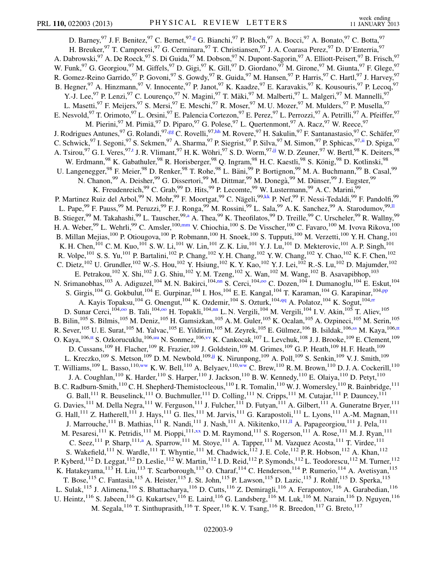<span id="page-8-12"></span><span id="page-8-11"></span><span id="page-8-10"></span><span id="page-8-9"></span><span id="page-8-8"></span><span id="page-8-7"></span><span id="page-8-6"></span><span id="page-8-5"></span><span id="page-8-4"></span><span id="page-8-3"></span><span id="page-8-2"></span><span id="page-8-1"></span><span id="page-8-0"></span>D. Barney, <sup>97</sup> J. F. Benitez, <sup>97</sup> C. Bernet,  $97, g$  G. Bianchi,  $97$  P. Bloch,  $97$  A. Bocci,  $97$  A. Bonato,  $97$  C. Botta,  $97$ H. Breuker, <sup>97</sup> T. Camporesi, <sup>97</sup> G. Cerminara, <sup>97</sup> T. Christiansen, <sup>97</sup> J. A. Coarasa Perez, <sup>97</sup> D. D'Enterria, <sup>97</sup> A. Dabrowski, <sup>97</sup> A. De Roeck, <sup>97</sup> S. Di Guida, <sup>97</sup> M. Dobson, <sup>97</sup> N. Dupont-Sagorin, <sup>97</sup> A. Elliott-Peisert, <sup>97</sup> B. Frisch, <sup>97</sup> W. Funk,  $97$  G. Georgiou,  $97$  M. Giffels,  $97$  D. Gigi,  $97$  K. Gill,  $97$  D. Giordano,  $97$  M. Girone,  $97$  M. Giunta,  $97$  F. Glege,  $97$ R. Gomez-Reino Garrido, <sup>97</sup> P. Govoni, <sup>97</sup> S. Gowdy, <sup>97</sup> R. Guida, <sup>97</sup> M. Hansen, <sup>97</sup> P. Harris, <sup>97</sup> C. Hartl, <sup>97</sup> J. Harvey, <sup>97</sup> B. Hegner, <sup>97</sup> A. Hinzmann, <sup>97</sup> V. Innocente, <sup>97</sup> P. Janot, <sup>97</sup> K. Kaadze, <sup>97</sup> E. Karavakis, <sup>97</sup> K. Kousouris, <sup>97</sup> P. Lecoq, <sup>97</sup> Y.-J. Lee, <sup>97</sup> P. Lenzi, <sup>97</sup> C. Lourenço, <sup>97</sup> N. Magini, <sup>97</sup> T. Mäki, <sup>97</sup> M. Malberti, <sup>97</sup> L. Malgeri, <sup>97</sup> M. Mannelli, <sup>97</sup> L. Masetti,<sup>97</sup> F. Meijers,<sup>97</sup> S. Mersi,<sup>97</sup> E. Meschi,<sup>97</sup> R. Moser,<sup>97</sup> M. U. Mozer,<sup>97</sup> M. Mulders,<sup>97</sup> P. Musella,<sup>97</sup> E. Nesvold, <sup>97</sup> T. Orimoto, <sup>97</sup> L. Orsini, <sup>97</sup> E. Palencia Cortezon, <sup>97</sup> E. Perez, <sup>97</sup> L. Perrozzi, <sup>97</sup> A. Petrilli, <sup>97</sup> A. Pfeiffer, <sup>97</sup> M. Pierini,  $97$  M. Pimiä,  $97$  D. Piparo,  $97$  G. Polese,  $97$  L. Quertenmont,  $97$  A. Racz,  $97$  W. Reece,  $97$ J. Rodrigues Antunes,<sup>97</sup> G. Rolandi,<sup>97[,gg](#page-14-32)</sup> C. Rovelli,<sup>97[,hh](#page-14-33)</sup> M. Rovere,<sup>97</sup> H. Sakulin,<sup>97</sup> F. Santanastasio,<sup>97</sup> C. Schäfer,<sup>97</sup> C. Schwick,<sup>97</sup> I. Segoni,<sup>97</sup> S. Sekmen,<sup>97</sup> A. Sharma,<sup>97</sup> P. Siegrist,<sup>97</sup> P. Silva,<sup>97</sup> M. Simon,<sup>97</sup> P. Sphicas,<sup>97,[ii](#page-14-34)</sup> D. Spiga,<sup>97</sup> A. Tsirou,<sup>97</sup> G. I. Veres, <sup>97[,t](#page-14-19)</sup> J. R. Vlimant, <sup>97</sup> H. K. Wöhri, <sup>97</sup> S. D. Worm, <sup>97,[jj](#page-14-35)</sup> W. D. Zeuner, <sup>97</sup> W. Bertl, <sup>98</sup> K. Deiters, <sup>98</sup> W. Erdmann,<sup>98</sup> K. Gabathuler,<sup>98</sup> R. Horisberger,<sup>98</sup> Q. Ingram,<sup>98</sup> H. C. Kaestli,<sup>98</sup> S. König,<sup>98</sup> D. Kotlinski,<sup>98</sup> U. Langenegger,<sup>98</sup> F. Meier,<sup>98</sup> D. Renker,<sup>98</sup> T. Rohe,<sup>98</sup> L. Bäni,<sup>99</sup> P. Bortignon,<sup>99</sup> M. A. Buchmann,<sup>99</sup> B. Casal,<sup>99</sup> N. Chanon, <sup>99</sup> A. Deisher, <sup>99</sup> G. Dissertori, <sup>99</sup> M. Dittmar, <sup>99</sup> M. Donegà, <sup>99</sup> M. Dünser, <sup>99</sup> J. Eugster, <sup>99</sup> K. Freudenreich,<sup>99</sup> C. Grab,<sup>99</sup> D. Hits,<sup>99</sup> P. Lecomte,<sup>99</sup> W. Lustermann,<sup>99</sup> A. C. Marini,<sup>99</sup> P. Martinez Ruiz del Arbol,<sup>99</sup> N. Mohr,<sup>99</sup> F. Moortgat,<sup>99</sup> C. Nägeli,<sup>99[,kk](#page-14-36)</sup> P. Nef,<sup>99</sup> F. Nessi-Tedaldi,<sup>99</sup> F. Pandolfi,<sup>99</sup> L. Pape,<sup>99</sup> F. Pauss,<sup>99</sup> M. Peruzzi,<sup>99</sup> F. J. Ronga,<sup>99</sup> M. Rossini,<sup>99</sup> L. Sala,<sup>99</sup> A. K. Sanchez,<sup>99</sup> A. Starodumov,<sup>99,11</sup> B. Stieger,<sup>99</sup> M. Takahashi,<sup>99</sup> L. Tauscher,<sup>99[,a](#page-14-1)</sup> A. Thea,<sup>99</sup> K. Theofilatos,<sup>99</sup> D. Treille,<sup>99</sup> C. Urscheler,<sup>99</sup> R. Wallny,<sup>99</sup> H. A. Weber,<sup>99</sup> L. Wehrli,<sup>99</sup> C. Amsler,<sup>100[,mm](#page-14-38)</sup> V. Chiochia,<sup>100</sup> S. De Visscher,<sup>100</sup> C. Favaro,<sup>100</sup> M. Ivova Rikova,<sup>100</sup> B. Millan Mejias,<sup>100</sup> P. Otiougova,<sup>100</sup> P. Robmann,<sup>100</sup> H. Snoek,<sup>100</sup> S. Tupputi,<sup>100</sup> M. Verzetti,<sup>100</sup> Y. H. Chang,<sup>101</sup> K. H. Chen,<sup>101</sup> C. M. Kuo,<sup>101</sup> S. W. Li,<sup>101</sup> W. Lin,<sup>101</sup> Z. K. Liu,<sup>101</sup> Y. J. Lu,<sup>101</sup> D. Mekterovic,<sup>101</sup> A. P. Singh,<sup>101</sup> R. Volpe, <sup>101</sup> S. S. Yu, <sup>101</sup> P. Bartalini, <sup>102</sup> P. Chang, <sup>102</sup> Y. H. Chang, <sup>102</sup> Y. W. Chang, <sup>102</sup> Y. Chao, <sup>102</sup> K. F. Chen, <sup>102</sup> C. Dietz,<sup>102</sup> U. Grundler,<sup>102</sup> W.-S. Hou,<sup>102</sup> Y. Hsiung,<sup>102</sup> K. Y. Kao,<sup>102</sup> Y. J. Lei,<sup>102</sup> R.-S. Lu,<sup>102</sup> D. Majumder,<sup>102</sup> E. Petrakou,  $^{102}$  X. Shi,  $^{102}$  J. G. Shiu,  $^{102}$  Y. M. Tzeng,  $^{102}$  X. Wan,  $^{102}$  M. Wang,  $^{102}$  B. Asavapibhop,  $^{103}$ N. Srimanobhas,<sup>103</sup> A. Adiguzel,<sup>104</sup> M. N. Bakirci,<sup>104[,nn](#page-14-39)</sup> S. Cerci,<sup>104[,oo](#page-14-40)</sup> C. Dozen,<sup>104</sup> I. Dumanoglu,<sup>104</sup> E. Eskut,<sup>104</sup> S. Girgis,<sup>104</sup> G. Gokbulut,<sup>104</sup> E. Gurpinar,<sup>104</sup> I. Hos,<sup>104</sup> E. E. Kangal,<sup>104</sup> T. Karaman,<sup>104</sup> G. Karapinar,<sup>104,[pp](#page-14-41)</sup> A. Kayis Topaksu,<sup>104</sup> G. Onengut,<sup>104</sup> K. Ozdemir,<sup>104</sup> S. Ozturk,<sup>104,[qq](#page-14-42)</sup> A. Polatoz,<sup>104</sup> K. Sogut,<sup>104[,rr](#page-14-43)</sup> D. Sunar Cerci,<sup>104,[oo](#page-14-40)</sup> B. Tali,<sup>104,oo</sup> H. Topakli,<sup>104[,nn](#page-14-39)</sup> L. N. Vergili,<sup>104</sup> M. Vergili,<sup>104</sup> I. V. Akin,<sup>105</sup> T. Aliev,<sup>105</sup> B. Bilin,<sup>105</sup> S. Bilmis,<sup>105</sup> M. Deniz,<sup>105</sup> H. Gamsizkan,<sup>105</sup> A. M. Guler,<sup>105</sup> K. Ocalan,<sup>105</sup> A. Ozpineci,<sup>105</sup> M. Serin,<sup>105</sup> R. Sever,  $^{105}$  U. E. Surat,  $^{105}$  M. Yalvac,  $^{105}$  E. Yildirim,  $^{105}$  M. Zeyrek,  $^{105}$  E. Gülmez,  $^{106}$  B. Isildak,  $^{106,ss}$  $^{106,ss}$  $^{106,ss}$  M. Kaya,  $^{106,tt}$  $^{106,tt}$  $^{106,tt}$ O. Kaya,  $^{106,\text{tt}}$  $^{106,\text{tt}}$  $^{106,\text{tt}}$  S. Ozkorucuklu,  $^{106,\text{uu}}$  N. Sonmez,  $^{106,\text{vv}}$  $^{106,\text{vv}}$  $^{106,\text{vv}}$  K. Cankocak,  $^{107}$  L. Levchuk,  $^{108}$  J. J. Brooke,  $^{109}$  E. Clement,  $^{109}$ D. Cussans,<sup>109</sup> H. Flacher,<sup>109</sup> R. Frazier,<sup>109</sup> J. Goldstein,<sup>109</sup> M. Grimes,<sup>109</sup> G. P. Heath,<sup>109</sup> H. F. Heath,<sup>109</sup> L. Kreczko, <sup>109</sup> S. Metson, <sup>109</sup> D. M. Newbold, <sup>109[,jj](#page-14-35)</sup> K. Nirunpong, <sup>109</sup> A. Poll, <sup>109</sup> S. Senkin, <sup>109</sup> V. J. Smith, <sup>109</sup> T. Williams,  $^{109}$  L. Basso,  $^{110,ww}$  $^{110,ww}$  $^{110,ww}$  K. W. Bell,  $^{110}$  A. Belyaev,  $^{110,ww}$  C. Brew,  $^{110}$  R. M. Brown,  $^{110}$  D. J. A. Cockerill,  $^{110}$ J. A. Coughlan,<sup>110</sup> K. Harder,<sup>110</sup> S. Harper,<sup>110</sup> J. Jackson,<sup>110</sup> B. W. Kennedy,<sup>110</sup> E. Olaiya,<sup>110</sup> D. Petyt,<sup>110</sup> B. C. Radburn-Smith,<sup>110</sup> C. H. Shepherd-Themistocleous,<sup>110</sup> I. R. Tomalin,<sup>110</sup> W. J. Womersley,<sup>110</sup> R. Bainbridge,<sup>111</sup> G. Ball,<sup>111</sup> R. Beuselinck,<sup>111</sup> O. Buchmuller,<sup>111</sup> D. Colling,<sup>111</sup> N. Cripps,<sup>111</sup> M. Cutajar,<sup>111</sup> P. Dauncey,<sup>111</sup> G. Davies,<sup>111</sup> M. Della Negra,<sup>111</sup> W. Ferguson,<sup>111</sup> J. Fulcher,<sup>111</sup> D. Futyan,<sup>111</sup> A. Gilbert,<sup>111</sup> A. Guneratne Bryer,<sup>111</sup> G. Hall,<sup>111</sup> Z. Hatherell,<sup>111</sup> J. Hays,<sup>111</sup> G. Iles,<sup>111</sup> M. Jarvis,<sup>111</sup> G. Karapostoli,<sup>111</sup> L. Lyons,<sup>111</sup> A.-M. Magnan,<sup>111</sup> J. Marrouche, <sup>111</sup> B. Mathias, <sup>111</sup> R. Nandi, <sup>111</sup> J. Nash, <sup>111</sup> A. Nikitenko, <sup>111, 11</sup> A. Papageorgiou, <sup>111</sup> J. Pela, <sup>111</sup> M. Pesaresi,<sup>111</sup> K. Petridis,<sup>111</sup> M. Pioppi,<sup>111,[xx](#page-14-49)</sup> D. M. Raymond,<sup>111</sup> S. Rogerson,<sup>111</sup> A. Rose,<sup>111</sup> M. J. Ryan,<sup>111</sup> C. Seez,<sup>111</sup> P. Sharp,<sup>111[,a](#page-14-1)</sup> A. Sparrow,<sup>111</sup> M. Stoye,<sup>111</sup> A. Tapper,<sup>111</sup> M. Vazquez Acosta,<sup>111</sup> T. Virdee,<sup>111</sup> S. Wakefield,<sup>111</sup> N. Wardle,<sup>111</sup> T. Whyntie,<sup>111</sup> M. Chadwick,<sup>112</sup> J. E. Cole,<sup>112</sup> P. R. Hobson,<sup>112</sup> A. Khan,<sup>112</sup> P. Kyberd,<sup>112</sup> D. Leggat,<sup>112</sup> D. Leslie,<sup>112</sup> W. Martin,<sup>112</sup> I. D. Reid,<sup>112</sup> P. Symonds,<sup>112</sup> L. Teodorescu,<sup>112</sup> M. Turner,<sup>112</sup> K. Hatakeyama, <sup>113</sup> H. Liu, <sup>113</sup> T. Scarborough, <sup>113</sup> O. Charaf, <sup>114</sup> C. Henderson, <sup>114</sup> P. Rumerio, <sup>114</sup> A. Avetisyan, <sup>115</sup> T. Bose,<sup>115</sup> C. Fantasia,<sup>115</sup> A. Heister,<sup>115</sup> J. St. John,<sup>115</sup> P. Lawson,<sup>115</sup> D. Lazic,<sup>115</sup> J. Rohlf,<sup>115</sup> D. Sperka,<sup>115</sup> L. Sulak,<sup>115</sup> J. Alimena,<sup>116</sup> S. Bhattacharya,<sup>116</sup> D. Cutts,<sup>116</sup> Z. Demiragli,<sup>116</sup> A. Ferapontov,<sup>116</sup> A. Garabedian,<sup>116</sup> U. Heintz,<sup>116</sup> S. Jabeen,<sup>116</sup> G. Kukartsev,<sup>116</sup> E. Laird,<sup>116</sup> G. Landsberg,<sup>116</sup> M. Luk,<sup>116</sup> M. Narain,<sup>116</sup> D. Nguyen,<sup>116</sup> M. Segala,  $^{116}$  T. Sinthuprasith,  $^{116}$  T. Speer,  $^{116}$  K. V. Tsang,  $^{116}$  R. Breedon,  $^{117}$  G. Breto,  $^{117}$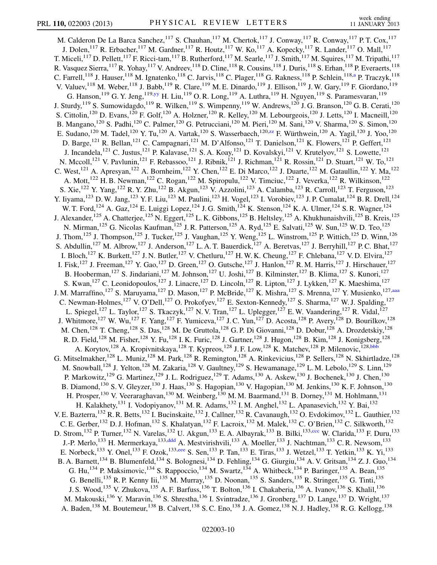<span id="page-9-6"></span><span id="page-9-5"></span><span id="page-9-4"></span><span id="page-9-3"></span><span id="page-9-2"></span><span id="page-9-1"></span><span id="page-9-0"></span>M. Calderon De La Barca Sanchez, 117 S. Chauhan, 117 M. Chertok, 117 J. Conway, 117 R. Conway, 117 P. T. Cox, 117 J. Dolen,<sup>117</sup> R. Erbacher,<sup>117</sup> M. Gardner,<sup>117</sup> R. Houtz,<sup>117</sup> W. Ko,<sup>117</sup> A. Kopecky,<sup>117</sup> R. Lander,<sup>117</sup> O. Mall,<sup>117</sup> T. Miceli,<sup>117</sup> D. Pellett,<sup>117</sup> F. Ricci-tam,<sup>117</sup> B. Rutherford,<sup>117</sup> M. Searle,<sup>117</sup> J. Smith,<sup>117</sup> M. Squires,<sup>117</sup> M. Tripathi,<sup>117</sup> R. Vasquez Sierra, <sup>117</sup> R. Yohay, <sup>117</sup> V. Andreev, <sup>118</sup> D. Cline, <sup>118</sup> R. Cousins, <sup>118</sup> J. Duris, <sup>118</sup> S. Erhan, <sup>118</sup> P. Everaerts, <sup>118</sup> C. Farrell,<sup>118</sup> J. Hauser,<sup>118</sup> M. Ignatenko,<sup>118</sup> C. Jarvis,<sup>118</sup> C. Plager,<sup>118</sup> G. Rakness,<sup>118</sup> P. Schlein,<sup>118[,a](#page-14-1)</sup> P. Traczyk,<sup>118</sup> V. Valuev, <sup>118</sup> M. Weber, <sup>118</sup> J. Babb, <sup>119</sup> R. Clare, <sup>119</sup> M. E. Dinardo, <sup>119</sup> J. Ellison, <sup>119</sup> J. W. Gary, <sup>119</sup> F. Giordano, <sup>119</sup> G. Hanson,  $^{119}$  G. Y. Jeng,  $^{119,yy}$  $^{119,yy}$  $^{119,yy}$  H. Liu,  $^{119}$  O. R. Long,  $^{119}$  A. Luthra,  $^{119}$  H. Nguyen,  $^{119}$  S. Paramesvaran,  $^{119}$ J. Sturdy,<sup>119</sup> S. Sumowidagdo,<sup>119</sup> R. Wilken,<sup>119</sup> S. Wimpenny,<sup>119</sup> W. Andrews,<sup>120</sup> J. G. Branson,<sup>120</sup> G. B. Cerati,<sup>120</sup> S. Cittolin,<sup>120</sup> D. Evans,<sup>120</sup> F. Golf,<sup>120</sup> A. Holzner,<sup>120</sup> R. Kelley,<sup>120</sup> M. Lebourgeois,<sup>120</sup> J. Letts,<sup>120</sup> I. Macneill,<sup>120</sup> B. Mangano,<sup>120</sup> S. Padhi,<sup>120</sup> C. Palmer,<sup>120</sup> G. Petrucciani,<sup>120</sup> M. Pieri,<sup>120</sup> M. Sani,<sup>120</sup> V. Sharma,<sup>120</sup> S. Simon,<sup>120</sup> E. Sudano,<sup>120</sup> M. Tadel,<sup>120</sup> Y. Tu,<sup>120</sup> A. Vartak,<sup>120</sup> S. Wasserbaech,<sup>120[,zz](#page-14-51)</sup> F. Würthwein,<sup>120</sup> A. Yagil,<sup>120</sup> J. Yoo,<sup>120</sup> D. Barge,<sup>121</sup> R. Bellan,<sup>121</sup> C. Campagnari,<sup>121</sup> M. D'Alfonso,<sup>121</sup> T. Danielson,<sup>121</sup> K. Flowers,<sup>121</sup> P. Geffert,<sup>121</sup> J. Incandela,<sup>121</sup> C. Justus,<sup>121</sup> P. Kalavase,<sup>121</sup> S. A. Koay,<sup>121</sup> D. Kovalskyi,<sup>121</sup> V. Krutelyov,<sup>121</sup> S. Lowette,<sup>121</sup> N. Mccoll,<sup>121</sup> V. Pavlunin,<sup>121</sup> F. Rebassoo,<sup>121</sup> J. Ribnik,<sup>121</sup> J. Richman,<sup>121</sup> R. Rossin,<sup>121</sup> D. Stuart,<sup>121</sup> W. To,<sup>121</sup> C. West,<sup>121</sup> A. Apresyan,<sup>122</sup> A. Bornheim,<sup>122</sup> Y. Chen,<sup>122</sup> E. Di Marco,<sup>122</sup> J. Duarte,<sup>122</sup> M. Gataullin,<sup>122</sup> Y. Ma,<sup>122</sup> A. Mott,<sup>122</sup> H. B. Newman,<sup>122</sup> C. Rogan,<sup>122</sup> M. Spiropulu,<sup>122</sup> V. Timciuc,<sup>122</sup> J. Veverka,<sup>122</sup> R. Wilkinson,<sup>122</sup> S. Xie,<sup>122</sup> Y. Yang,<sup>122</sup> R. Y. Zhu,<sup>122</sup> B. Akgun,<sup>123</sup> V. Azzolini,<sup>123</sup> A. Calamba,<sup>123</sup> R. Carroll,<sup>123</sup> T. Ferguson,<sup>123</sup> Y. Iiyama,<sup>123</sup> D. W. Jang,<sup>123</sup> Y. F. Liu,<sup>123</sup> M. Paulini,<sup>123</sup> H. Vogel,<sup>123</sup> I. Vorobiev,<sup>123</sup> J. P. Cumalat,<sup>124</sup> B. R. Drell,<sup>124</sup> W. T. Ford,<sup>124</sup> A. Gaz,<sup>124</sup> E. Luiggi Lopez,<sup>124</sup> J. G. Smith,<sup>124</sup> K. Stenson,<sup>124</sup> K. A. Ulmer,<sup>124</sup> S. R. Wagner,<sup>124</sup> J. Alexander,<sup>125</sup> A. Chatterjee,<sup>125</sup> N. Eggert,<sup>125</sup> L. K. Gibbons,<sup>125</sup> B. Heltsley,<sup>125</sup> A. Khukhunaishvili,<sup>125</sup> B. Kreis,<sup>125</sup> N. Mirman,<sup>125</sup> G. Nicolas Kaufman,<sup>125</sup> J. R. Patterson,<sup>125</sup> A. Ryd,<sup>125</sup> E. Salvati,<sup>125</sup> W. Sun,<sup>125</sup> W. D. Teo,<sup>125</sup> J. Thom,<sup>125</sup> J. Thompson,<sup>125</sup> J. Tucker,<sup>125</sup> J. Vaughan,<sup>125</sup> Y. Weng,<sup>125</sup> L. Winstrom,<sup>125</sup> P. Wittich,<sup>125</sup> D. Winn,<sup>126</sup> S. Abdullin,<sup>127</sup> M. Albrow,<sup>127</sup> J. Anderson,<sup>127</sup> L. A. T. Bauerdick,<sup>127</sup> A. Beretvas,<sup>127</sup> J. Berryhill,<sup>127</sup> P. C. Bhat,<sup>127</sup> I. Bloch,<sup>127</sup> K. Burkett,<sup>127</sup> J. N. Butler,<sup>127</sup> V. Chetluru,<sup>127</sup> H. W. K. Cheung,<sup>127</sup> F. Chlebana,<sup>127</sup> V. D. Elvira,<sup>127</sup> I. Fisk,<sup>127</sup> J. Freeman,<sup>127</sup> Y. Gao,<sup>127</sup> D. Green,<sup>127</sup> O. Gutsche,<sup>127</sup> J. Hanlon,<sup>127</sup> R. M. Harris,<sup>127</sup> J. Hirschauer,<sup>127</sup> B. Hooberman,<sup>127</sup> S. Jindariani,<sup>127</sup> M. Johnson,<sup>127</sup> U. Joshi,<sup>127</sup> B. Kilminster,<sup>127</sup> B. Klima,<sup>127</sup> S. Kunori,<sup>127</sup> S. Kwan,<sup>127</sup> C. Leonidopoulos,<sup>127</sup> J. Linacre,<sup>127</sup> D. Lincoln,<sup>127</sup> R. Lipton,<sup>127</sup> J. Lykken,<sup>127</sup> K. Maeshima,<sup>127</sup> J. M. Marraffino, <sup>127</sup> S. Maruyama, <sup>127</sup> D. Mason, <sup>127</sup> P. McBride, <sup>127</sup> K. Mishra, <sup>127</sup> S. Mrenna, <sup>127</sup> Y. Musienko, <sup>127, [aaa](#page-14-52)</sub></sup> C. Newman-Holmes,<sup>127</sup> V. O'Dell,<sup>127</sup> O. Prokofyev,<sup>127</sup> E. Sexton-Kennedy,<sup>127</sup> S. Sharma,<sup>127</sup> W. J. Spalding,<sup>127</sup> L. Spiegel,<sup>127</sup> L. Taylor,<sup>127</sup> S. Tkaczyk,<sup>127</sup> N. V. Tran,<sup>127</sup> L. Uplegger,<sup>127</sup> E. W. Vaandering,<sup>127</sup> R. Vidal,<sup>127</sup> J. Whitmore,<sup>127</sup> W. Wu,<sup>127</sup> F. Yang,<sup>127</sup> F. Yumiceva,<sup>127</sup> J.C. Yun,<sup>127</sup> D. Acosta,<sup>128</sup> P. Avery,<sup>128</sup> D. Bourilkov,<sup>128</sup> M. Chen,<sup>128</sup> T. Cheng,<sup>128</sup> S. Das,<sup>128</sup> M. De Gruttola,<sup>128</sup> G. P. Di Giovanni,<sup>128</sup> D. Dobur,<sup>128</sup> A. Drozdetskiy,<sup>128</sup> R. D. Field,<sup>128</sup> M. Fisher,<sup>128</sup> Y. Fu,<sup>128</sup> I. K. Furic,<sup>128</sup> J. Gartner,<sup>128</sup> J. Hugon,<sup>128</sup> B. Kim,<sup>128</sup> J. Konigsberg,<sup>128</sup> A. Korytov,<sup>128</sup> A. Kropivnitskaya,<sup>128</sup> T. Kypreos,<sup>128</sup> J. F. Low,<sup>128</sup> K. Matchev,<sup>128</sup> P. Milenovic,<sup>128[,bbb](#page-14-53)</sup> G. Mitselmakher,<sup>128</sup> L. Muniz,<sup>128</sup> M. Park,<sup>128</sup> R. Remington,<sup>128</sup> A. Rinkevicius,<sup>128</sup> P. Sellers,<sup>128</sup> N. Skhirtladze,<sup>128</sup> M. Snowball,<sup>128</sup> J. Yelton,<sup>128</sup> M. Zakaria,<sup>128</sup> V. Gaultney,<sup>129</sup> S. Hewamanage,<sup>129</sup> L. M. Lebolo,<sup>129</sup> S. Linn,<sup>129</sup> P. Markowitz,<sup>129</sup> G. Martinez,<sup>129</sup> J. L. Rodriguez,<sup>129</sup> T. Adams,<sup>130</sup> A. Askew,<sup>130</sup> J. Bochenek,<sup>130</sup> J. Chen,<sup>130</sup> B. Diamond,<sup>130</sup> S. V. Gleyzer,<sup>130</sup> J. Haas,<sup>130</sup> S. Hagopian,<sup>130</sup> V. Hagopian,<sup>130</sup> M. Jenkins,<sup>130</sup> K. F. Johnson,<sup>130</sup> H. Prosper,<sup>130</sup> V. Veeraraghavan,<sup>130</sup> M. Weinberg,<sup>130</sup> M. M. Baarmand,<sup>131</sup> B. Dorney,<sup>131</sup> M. Hohlmann,<sup>131</sup> H. Kalakhety,<sup>131</sup> I. Vodopiyanov,<sup>131</sup> M. R. Adams,<sup>132</sup> I. M. Anghel,<sup>132</sup> L. Apanasevich,<sup>132</sup> Y. Bai,<sup>132</sup> V. E. Bazterra, <sup>132</sup> R. R. Betts, <sup>132</sup> I. Bucinskaite, <sup>132</sup> J. Callner, <sup>132</sup> R. Cavanaugh, <sup>132</sup> O. Evdokimov, <sup>132</sup> L. Gauthier, <sup>132</sup> C. E. Gerber,<sup>132</sup> D. J. Hofman,<sup>132</sup> S. Khalatyan,<sup>132</sup> F. Lacroix,<sup>132</sup> M. Malek,<sup>132</sup> C. O'Brien,<sup>132</sup> C. Silkworth,<sup>132</sup> D. Strom, <sup>132</sup> P. Turner, <sup>132</sup> N. Varelas, <sup>132</sup> U. Akgun, <sup>133</sup> E. A. Albayrak, <sup>133</sup> B. Bilki, <sup>133, ccc</sup> W. Clarida, <sup>133</sup> F. Duru, <sup>133</sup> J.-P. Merlo,<sup>133</sup> H. Mermerkaya,<sup>133,[ddd](#page-15-0)</sup> A. Mestvirishvili,<sup>133</sup> A. Moeller,<sup>133</sup> J. Nachtman,<sup>133</sup> C. R. Newsom,<sup>133</sup> E. Norbeck,<sup>133</sup> Y. Onel,<sup>133</sup> F. Ozok,<sup>133[,eee](#page-15-1)</sup> S. Sen,<sup>133</sup> P. Tan,<sup>133</sup> E. Tiras,<sup>133</sup> J. Wetzel,<sup>133</sup> T. Yetkin,<sup>133</sup> K. Yi,<sup>133</sup> B. A. Barnett,<sup>134</sup> B. Blumenfeld,<sup>134</sup> S. Bolognesi,<sup>134</sup> D. Fehling,<sup>134</sup> G. Giurgiu,<sup>134</sup> A. V. Gritsan,<sup>134</sup> Z. J. Guo,<sup>134</sup> G. Hu,<sup>134</sup> P. Maksimovic,<sup>134</sup> S. Rappoccio,<sup>134</sup> M. Swartz,<sup>134</sup> A. Whitbeck,<sup>134</sup> P. Baringer,<sup>135</sup> A. Bean,<sup>135</sup> G. Benelli,<sup>135</sup> R. P. Kenny Iii,<sup>135</sup> M. Murray,<sup>135</sup> D. Noonan,<sup>135</sup> S. Sanders,<sup>135</sup> R. Stringer,<sup>135</sup> G. Tinti,<sup>135</sup> J. S. Wood, <sup>135</sup> V. Zhukova, <sup>135</sup> A. F. Barfuss, <sup>136</sup> T. Bolton, <sup>136</sup> I. Chakaberia, <sup>136</sup> A. Ivanov, <sup>136</sup> S. Khalil, <sup>136</sup> M. Makouski,<sup>136</sup> Y. Maravin,<sup>136</sup> S. Shrestha,<sup>136</sup> I. Svintradze,<sup>136</sup> J. Gronberg,<sup>137</sup> D. Lange,<sup>137</sup> D. Wright,<sup>137</sup> A. Baden,<sup>138</sup> M. Boutemeur,<sup>138</sup> B. Calvert,<sup>138</sup> S. C. Eno,<sup>138</sup> J. A. Gomez,<sup>138</sup> N. J. Hadley,<sup>138</sup> R. G. Kellogg,<sup>138</sup>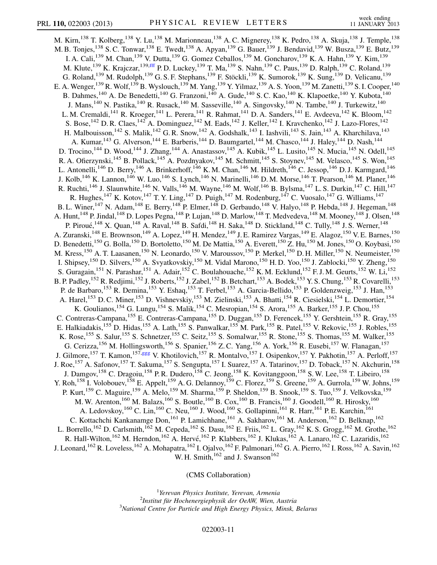<span id="page-10-0"></span>M. Kirn,<sup>138</sup> T. Kolberg,<sup>138</sup> Y. Lu,<sup>138</sup> M. Marionneau,<sup>138</sup> A. C. Mignerey,<sup>138</sup> K. Pedro,<sup>138</sup> A. Skuja,<sup>138</sup> J. Temple,<sup>138</sup> M. B. Tonjes,<sup>138</sup> S. C. Tonwar,<sup>138</sup> E. Twedt,<sup>138</sup> A. Apyan,<sup>139</sup> G. Bauer,<sup>139</sup> J. Bendavid,<sup>139</sup> W. Busza,<sup>139</sup> E. Butz,<sup>139</sup> I. A. Cali, <sup>139</sup> M. Chan, <sup>139</sup> V. Dutta, <sup>139</sup> G. Gomez Ceballos, <sup>139</sup> M. Goncharov, <sup>139</sup> K. A. Hahn, <sup>139</sup> Y. Kim, <sup>139</sup> M. Klute, <sup>139</sup> K. Krajczar, <sup>139,[fff](#page-15-2)</sup> P. D. Luckey, <sup>139</sup> T. Ma, <sup>139</sup> S. Nahn, <sup>139</sup> C. Paus, <sup>139</sup> D. Ralph, <sup>139</sup> C. Roland, <sup>139</sup> G. Roland,<sup>139</sup> M. Rudolph,<sup>139</sup> G. S. F. Stephans,<sup>139</sup> F. Stöckli,<sup>139</sup> K. Sumorok,<sup>139</sup> K. Sung,<sup>139</sup> D. Velicanu,<sup>139</sup> E. A. Wenger,<sup>139</sup> R. Wolf,<sup>139</sup> B. Wyslouch,<sup>139</sup> M. Yang,<sup>139</sup> Y. Yilmaz,<sup>139</sup> A. S. Yoon,<sup>139</sup> M. Zanetti,<sup>139</sup> S. I. Cooper,<sup>140</sup> B. Dahmes,<sup>140</sup> A. De Benedetti,<sup>140</sup> G. Franzoni,<sup>140</sup> A. Gude,<sup>140</sup> S. C. Kao,<sup>140</sup> K. Klapoetke,<sup>140</sup> Y. Kubota,<sup>140</sup> J. Mans,<sup>140</sup> N. Pastika,<sup>140</sup> R. Rusack,<sup>140</sup> M. Sasseville,<sup>140</sup> A. Singovsky,<sup>140</sup> N. Tambe,<sup>140</sup> J. Turkewitz,<sup>140</sup> L. M. Cremaldi,<sup>141</sup> R. Kroeger,<sup>141</sup> L. Perera,<sup>141</sup> R. Rahmat,<sup>141</sup> D. A. Sanders,<sup>141</sup> E. Avdeeva,<sup>142</sup> K. Bloom,<sup>142</sup> S. Bose,<sup>142</sup> D. R. Claes,<sup>142</sup> A. Dominguez,<sup>142</sup> M. Eads,<sup>142</sup> J. Keller,<sup>142</sup> I. Kravchenko,<sup>142</sup> J. Lazo-Flores,<sup>142</sup> H. Malbouisson,<sup>142</sup> S. Malik,<sup>142</sup> G. R. Snow,<sup>142</sup> A. Godshalk,<sup>143</sup> I. Iashvili,<sup>143</sup> S. Jain,<sup>143</sup> A. Kharchilava,<sup>143</sup> A. Kumar,<sup>143</sup> G. Alverson,<sup>144</sup> E. Barberis,<sup>144</sup> D. Baumgartel,<sup>144</sup> M. Chasco,<sup>144</sup> J. Haley,<sup>144</sup> D. Nash,<sup>144</sup> D. Trocino,<sup>144</sup> D. Wood,<sup>144</sup> J. Zhang,<sup>144</sup> A. Anastassov,<sup>145</sup> A. Kubik,<sup>145</sup> L. Lusito,<sup>145</sup> N. Mucia,<sup>145</sup> N. Odell,<sup>145</sup> R. A. Ofierzynski,<sup>145</sup> B. Pollack,<sup>145</sup> A. Pozdnyakov,<sup>145</sup> M. Schmitt,<sup>145</sup> S. Stoynev,<sup>145</sup> M. Velasco,<sup>145</sup> S. Won,<sup>145</sup> L. Antonelli,<sup>146</sup> D. Berry,<sup>146</sup> A. Brinkerhoff,<sup>146</sup> K. M. Chan,<sup>146</sup> M. Hildreth,<sup>146</sup> C. Jessop,<sup>146</sup> D. J. Karmgard,<sup>146</sup> J. Kolb,<sup>146</sup> K. Lannon,<sup>146</sup> W. Luo,<sup>146</sup> S. Lynch,<sup>146</sup> N. Marinelli,<sup>146</sup> D. M. Morse,<sup>146</sup> T. Pearson,<sup>146</sup> M. Planer,<sup>146</sup> R. Ruchti,<sup>146</sup> J. Slaunwhite,<sup>146</sup> N. Valls,<sup>146</sup> M. Wayne,<sup>146</sup> M. Wolf,<sup>146</sup> B. Bylsma,<sup>147</sup> L. S. Durkin,<sup>147</sup> C. Hill,<sup>147</sup> R. Hughes,<sup>147</sup> K. Kotov,<sup>147</sup> T. Y. Ling,<sup>147</sup> D. Puigh,<sup>147</sup> M. Rodenburg,<sup>147</sup> C. Vuosalo,<sup>147</sup> G. Williams,<sup>147</sup> B. L. Winer,<sup>147</sup> N. Adam,<sup>148</sup> E. Berry,<sup>148</sup> P. Elmer,<sup>148</sup> D. Gerbaudo,<sup>148</sup> V. Halyo,<sup>148</sup> P. Hebda,<sup>148</sup> J. Hegeman,<sup>148</sup> A. Hunt,<sup>148</sup> P. Jindal,<sup>148</sup> D. Lopes Pegna,<sup>148</sup> P. Lujan,<sup>148</sup> D. Marlow,<sup>148</sup> T. Medvedeva,<sup>148</sup> M. Mooney,<sup>148</sup> J. Olsen,<sup>148</sup> P. Piroué, <sup>148</sup> X. Quan, <sup>148</sup> A. Raval, <sup>148</sup> B. Safdi, <sup>148</sup> H. Saka, <sup>148</sup> D. Stickland, <sup>148</sup> C. Tully, <sup>148</sup> J. S. Werner, <sup>148</sup> A. Zuranski,<sup>148</sup> E. Brownson,<sup>149</sup> A. Lopez,<sup>149</sup> H. Mendez,<sup>149</sup> J. E. Ramirez Vargas,<sup>149</sup> E. Alagoz,<sup>150</sup> V. E. Barnes,<sup>150</sup> D. Benedetti,<sup>150</sup> G. Bolla,<sup>150</sup> D. Bortoletto,<sup>150</sup> M. De Mattia,<sup>150</sup> A. Everett,<sup>150</sup> Z. Hu,<sup>150</sup> M. Jones,<sup>150</sup> O. Koybasi,<sup>150</sup> M. Kress,<sup>150</sup> A. T. Laasanen,<sup>150</sup> N. Leonardo,<sup>150</sup> V. Maroussov,<sup>150</sup> P. Merkel,<sup>150</sup> D. H. Miller,<sup>150</sup> N. Neumeister,<sup>150</sup> I. Shipsey,<sup>150</sup> D. Silvers,<sup>150</sup> A. Svyatkovskiy,<sup>150</sup> M. Vidal Marono,<sup>150</sup> H.D. Yoo,<sup>150</sup> J. Zablocki,<sup>150</sup> Y. Zheng,<sup>150</sup> S. Guragain,<sup>151</sup> N. Parashar,<sup>151</sup> A. Adair,<sup>152</sup> C. Boulahouache,<sup>152</sup> K. M. Ecklund,<sup>152</sup> F. J. M. Geurts,<sup>152</sup> W. Li,<sup>152</sup> B. P. Padley, <sup>152</sup> R. Redjimi, <sup>152</sup> J. Roberts, <sup>152</sup> J. Zabel, <sup>152</sup> B. Betchart, <sup>153</sup> A. Bodek, <sup>153</sup> Y. S. Chung, <sup>153</sup> R. Covarelli, <sup>153</sup> P. de Barbaro,<sup>153</sup> R. Demina,<sup>153</sup> Y. Eshaq,<sup>153</sup> T. Ferbel,<sup>153</sup> A. Garcia-Bellido,<sup>153</sup> P. Goldenzweig,<sup>153</sup> J. Han,<sup>153</sup> A. Harel,<sup>153</sup> D. C. Miner,<sup>153</sup> D. Vishnevskiy,<sup>153</sup> M. Zielinski,<sup>153</sup> A. Bhatti,<sup>154</sup> R. Ciesielski,<sup>154</sup> L. Demortier,<sup>154</sup> K. Goulianos, <sup>154</sup> G. Lungu, <sup>154</sup> S. Malik, <sup>154</sup> C. Mesropian, <sup>154</sup> S. Arora, <sup>155</sup> A. Barker, <sup>155</sup> J. P. Chou, <sup>155</sup> C. Contreras-Campana,<sup>155</sup> E. Contreras-Campana,<sup>155</sup> D. Duggan,<sup>155</sup> D. Ferencek,<sup>155</sup> Y. Gershtein,<sup>155</sup> R. Gray,<sup>155</sup> E. Halkiadakis,<sup>155</sup> D. Hidas,<sup>155</sup> A. Lath,<sup>155</sup> S. Panwalkar,<sup>155</sup> M. Park,<sup>155</sup> R. Patel,<sup>155</sup> V. Rekovic,<sup>155</sup> J. Robles,<sup>155</sup> K. Rose,<sup>155</sup> S. Salur,<sup>155</sup> S. Schnetzer,<sup>155</sup> C. Seitz,<sup>155</sup> S. Somalwar,<sup>155</sup> R. Stone,<sup>155</sup> S. Thomas,<sup>155</sup> M. Walker,<sup>155</sup> G. Cerizza,<sup>156</sup> M. Hollingsworth,<sup>156</sup> S. Spanier,<sup>156</sup> Z. C. Yang,<sup>156</sup> A. York,<sup>156</sup> R. Eusebi,<sup>157</sup> W. Flanagan,<sup>157</sup> J. Gilmore,<sup>157</sup> T. Kamon,<sup>157,[ggg](#page-15-3)</sup> V. Khotilovich,<sup>157</sup> R. Montalvo,<sup>157</sup> I. Osipenkov,<sup>157</sup> Y. Pakhotin,<sup>157</sup> A. Perloff,<sup>157</sup> J. Roe,<sup>157</sup> A. Safonov,<sup>157</sup> T. Sakuma,<sup>157</sup> S. Sengupta,<sup>157</sup> I. Suarez,<sup>157</sup> A. Tatarinov,<sup>157</sup> D. Toback,<sup>157</sup> N. Akchurin,<sup>158</sup> J. Damgov,<sup>158</sup> C. Dragoiu,<sup>158</sup> P. R. Dudero,<sup>158</sup> C. Jeong,<sup>158</sup> K. Kovitanggoon,<sup>158</sup> S. W. Lee,<sup>158</sup> T. Libeiro,<sup>158</sup> Y. Roh,<sup>158</sup> I. Volobouev,<sup>158</sup> E. Appelt,<sup>159</sup> A. G. Delannoy,<sup>159</sup> C. Florez,<sup>159</sup> S. Greene,<sup>159</sup> A. Gurrola,<sup>159</sup> W. Johns,<sup>159</sup> P. Kurt,<sup>159</sup> C. Maguire,<sup>159</sup> A. Melo,<sup>159</sup> M. Sharma,<sup>159</sup> P. Sheldon,<sup>159</sup> B. Snook,<sup>159</sup> S. Tuo,<sup>159</sup> J. Velkovska,<sup>159</sup> M. W. Arenton,<sup>160</sup> M. Balazs,<sup>160</sup> S. Boutle,<sup>160</sup> B. Cox,<sup>160</sup> B. Francis,<sup>160</sup> J. Goodell,<sup>160</sup> R. Hirosky,<sup>160</sup> A. Ledovskoy, <sup>160</sup> C. Lin, <sup>160</sup> C. Neu, <sup>160</sup> J. Wood, <sup>160</sup> S. Gollapinni, <sup>161</sup> R. Harr, <sup>161</sup> P. E. Karchin, <sup>161</sup> C. Kottachchi Kankanamge Don,<sup>161</sup> P. Lamichhane,<sup>161</sup> A. Sakharov,<sup>161</sup> M. Anderson,<sup>162</sup> D. Belknap,<sup>162</sup> L. Borrello,<sup>162</sup> D. Carlsmith,<sup>162</sup> M. Cepeda,<sup>162</sup> S. Dasu,<sup>162</sup> E. Friis,<sup>162</sup> L. Gray,<sup>162</sup> K. S. Grogg,<sup>162</sup> M. Grothe,<sup>162</sup> R. Hall-Wilton,<sup>162</sup> M. Herndon,<sup>162</sup> A. Hervé,<sup>162</sup> P. Klabbers,<sup>162</sup> J. Klukas,<sup>162</sup> A. Lanaro,<sup>162</sup> C. Lazaridis,<sup>162</sup> J. Leonard, <sup>162</sup> R. Loveless, <sup>162</sup> A. Mohapatra, <sup>162</sup> I. Ojalvo, <sup>162</sup> F. Palmonari, <sup>162</sup> G. A. Pierro, <sup>162</sup> I. Ross, <sup>162</sup> A. Savin, <sup>162</sup> W. H. Smith,  $^{162}$  and J. Swanson<sup>162</sup>

(CMS Collaboration)

<span id="page-10-1"></span><sup>1</sup> Yerevan Physics Institute, Yerevan, Armenia<br><sup>2</sup>Institut für Hockenergianhysik der OcAW Wien.  $2$ Institut für Hochenergiephysik der OeAW, Wien, Austria  $3$ National Centre for Particle and High Energy Physics, Minsk, Belarus

## 022003-11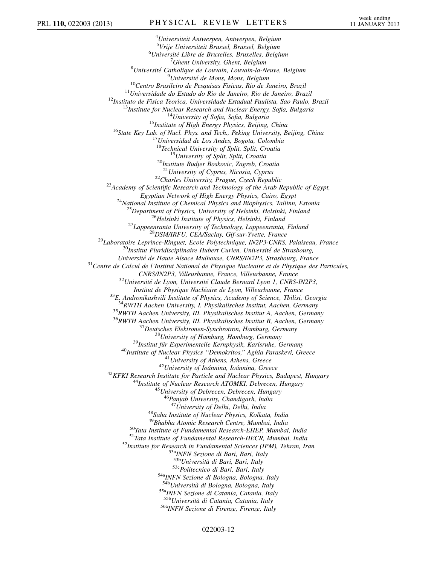<sup>4</sup>Universiteit Antwerpen, Antwerpen, Belgium <sup>5</sup>Vrije Universiteit Brussel, Brussel, Belgium<br><sup>6</sup>Université Libre de Pruxelles, Pruxelles, Belgi <sup>6</sup>Université Libre de Bruxelles, Bruxelles, Belgium  ${}^{7}G$ hent University, Ghent, Belgium <sup>7</sup>Ghent University, Ghent, Belgium<br><sup>8</sup>Université Catholique de Louvain, Louvain-la-Neuve, Belgium <sup>9</sup>Université de Mons, Mons, Belgium <sup>10</sup>Centro Brasileiro de Pesquisas Fisicas, Rio de Janeiro, Brazil<br><sup>11</sup>Universidade do Estado do Rio de Janeiro, Rio de Janeiro, Brazil<br><sup>12</sup>Instituto de Fisica Teorica, Universidade Estadual Paulista, Sao Paulo, Brazil<br><sup>1</sup> <sup>19</sup>University of Split, Split, Croatia<br><sup>20</sup>Institute Rudjer Boskovic, Zagreb, Croatia <sup>21</sup>University of Cyprus, Nicosia, Cyprus<br><sup>22</sup>Charles University, Prague, Czech Republic<br><sup>23</sup>Academy of Scientific Research and Technology of the Arab Republic of Egypt, Egyptian Network of High Energy Physics, Cairo, Egypt<br><sup>24</sup>National Institute of Chemical Physics and Biophysics, Tallinn, Estonia<br><sup>25</sup>Department of Physics, University of Helsinki, Helsinki, Finland <sup>26</sup>Helsinki Institute of Physics, Helsinki, Finland<sup>27</sup>Lappeenranta University of Technology, Lappeenranta, Finland<sup>28</sup>DSM/IRFU, CEA/Saclay, Gif-sur-Yvette, France<sup>29</sup>Laboratoire Leprince-Ringuet, Ecole Polytechnique, IN Université de Haute Alsace Mulhouse, CNRS/IN2P3, Strasbourg, France  $31$ Centre de Calcul de l'Institut National de Physique Nucleaire et de Physique des Particules, CNRS/IN2P3, Villeurbanne, France, Villeurbanne, France<br><sup>32</sup>Université de Lyon, Université Claude Bernard Lyon 1, CNRS-IN2P3, Institut de Physique Nucléaire de Lyon, Villeurbanne, France<br><sup>33</sup>E. Andronikashvili Institute of Physics, Academy of Science, Tbilisi, Georgia<br><sup>34</sup>RWTH Aachen University, I. Physikalisches Institut, Aachen, Germany <sup>34</sup>RWTH Aachen University, I. Physikalisches Institut, Aachen, Germany<br><sup>35</sup>RWTH Aachen University, III. Physikalisches Institut A, Aachen, Germany<br><sup>36</sup>RWTH Aachen University, III. Physikalisches Institut B, Aachen, Germa <sup>45</sup>University of Debrecen, Debrecen, Hungary<br><sup>46</sup>Panjab University, Chandigarh, India<br><sup>47</sup>University of Delhi, Delhi, India <sup>48</sup>Saha Institute of Nuclear Physics, Kolkata, India<br><sup>49</sup>Bhabha Atomic Research Centre, Mumbai, India <sup>50</sup>Tata Institute of Fundamental Research-EHEP, Mumbai, India<br><sup>51</sup>Tata Institute of Fundamental Research-HECR, Mumbai, India<br><sup>52</sup>Institute for Research in Fundamental Sciences (IPM), Tehran, Iran<br><sup>52</sup>Institute for Resear <sup>53c</sup>Politecnico di Bari, Bari, Italy<br><sup>54a</sup>INFN Sezione di Bologna, Bologna, Italy<br><sup>54b</sup>Università di Bologna, Bologna, Italy <sup>55a</sup>INFN Sezione di Catania, Catania, Italy<br><sup>55b</sup>Università di Catania, Catania, Italy 56aINFN Sezione di Firenze, Firenze, Italy

## 022003-12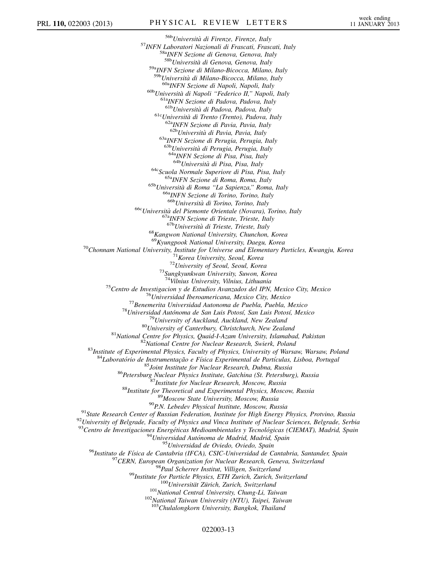<sup>56</sup>bUniversità di Firenze, Firenze, Italy<br><sup>57</sup>INFN Laboratori Nazionali di Frascati, Frascati, Italy<br><sup>58a</sup>INFN Sezione di Genova, Genova, Italy<br><sup>58b</sup>Università di Genova, Genova, Italy  $59a$ <sub>INFN</sub> Sezione di Milano-Bicocca, Milano, Italy  $59b$ Università di Milano-Bicocca, Milano, Italy <sup>60a</sup>INFN Sezione di Napoli, Napoli, Italy <sup>60b</sup>Università di Napoli "Federico II," Napoli, Italy <sup>61a</sup>INFN Sezione di Padova, Padova, Italy <sup>61b</sup>Università di Padova, Padova, Italy <sup>61c</sup>Università di Trento (Trento), Padova, Italy <sup>62a</sup>INFN Sezione di Pavia, Pavia, Italy <sup>62b</sup>Università di Pavia, Pavia, Italy 63aINFN Sezione di Perugia, Perugia, Italy  $63b$ Università di Perugia, Perugia, Italy  $64a$ <sub>INFN</sub> Sezione di Pisa, Pisa, Italy  $64b$ Università di Pisa, Pisa, Italy <sup>64c</sup>Scuola Normale Superiore di Pisa, Pisa, Italy <sup>65a</sup>INFN Sezione di Roma, Roma, Italy <sup>65b</sup>Università di Roma ''La Sapienza,'' Roma, Italy <sup>666</sup>Università di Torino, Torino, Italy <sup>66b</sup>Università di Torino, Torino, It <sup>66c</sup>Università del Piemonte Orientale (Novara), Torino, Italy<br><sup>67a</sup>INFN Sezione di Trieste, Trieste, Italy<br><sup>67b</sup>Università di Trieste, Trieste, Italy  $^{68}$ Kangwon National University, Chunchon, Korea<br> $^{69}$ Kyungpook National University, Daegu, Korea <sup>70</sup>Chonnam National University, Institute for Universe and Elementary Particles, Kwangju, Korea<br><sup>71</sup>Korea University, Seoul, Korea<br><sup>72</sup>University of Seoul, Seoul, Korea<br><sup>73</sup>Sungkyunkwan University, Suwon, Korea<br><sup>74</sup>Vilni <sup>75</sup>Centro de Investigacion y de Estudios Avanzados del IPN, Mexico City, Mexico<br><sup>76</sup>Universidad Iberoamericana, Mexico City, Mexico<br><sup>77</sup>Benemerita Universidad Autonoma de Puebla, Puebla, Mexico<br><sup>78</sup>Universidad Autónoma d <sup>84</sup>Laboratório de Instrumentação e Física Experimental de Partículas, Lisboa, Portugal<br><sup>85</sup>Joint Institute for Nuclear Research, Dubna, Russia<br><sup>86</sup>Petersburg Nuclear Physics Institute, Gatchina (St. Petersburg), Russia<br><sup></sup> <sup>93</sup>Centro de Investigaciones Energéticas Medioambientales y Tecnológicas (CIEMAT), Madrid, Spain<br><sup>94</sup>Universidad Autónoma de Madrid, Madrid, Spain<br><sup>95</sup>Universidad de Oviedo, Oviedo, Spain<br><sup>95</sup>Universidad de Oviedo, Ovied

<sup>103</sup>Chulalongkorn University, Bangkok, Thailand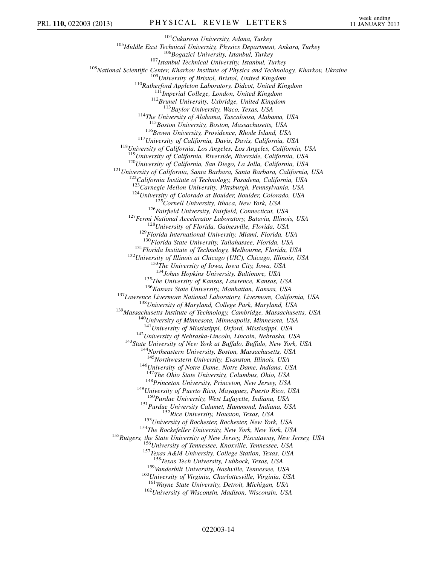<sup>104</sup>Cukurova University, Adana, Turkey<br><sup>105</sup>Middle East Technical University, Physics Department, Ankara, Turkey<br><sup>107</sup>Istanbul Technical University, Istanbul, Turkey<br><sup>107</sup>Istanbul Technical University, Istanbul, Turkey<br><sup></sup> <sup>114</sup>The University of Alabama, Tuscaloosa, Alabama, USA  $115$ Boston University, Boston, Massachusetts, USA <sup>116</sup>Brown University, Providence, Rhode Island, USA<br><sup>117</sup>University of California, Davis, Davis, California, USA<br><sup>118</sup>University of California, Los Angeles, Los Angeles, California, USA<br><sup>119</sup>University of California, Riv <sup>120</sup> University of California, San Diego, La Jolla, California, USA<br><sup>121</sup> University of California, Santa Barbara, Santa Barbara, California, USA<br><sup>122</sup> California Institute of Technology, Pasadena, California, USA <sup>123</sup>Carnegie Mellon University, Pittsburgh, Pennsylvania, USA<br><sup>124</sup>University of Colorado at Boulder, Boulder, Colorado, USA<br><sup>125</sup>Cornell University, Ithaca, New York, USA<br><sup>126</sup>Fairfield University, Fairfield, Connecticu <sup>131</sup>Florida Institute of Technology, Melbourne, Florida, USA<br><sup>132</sup>University of Illinois at Chicago (UIC), Chicago, Illinois, USA<br><sup>133</sup>The University of Iowa, Iowa City, Iowa, USA<br><sup>134</sup>Johns Hopkins University, Baltimore <sup>135</sup>The University of Kansas, Lawrence, Kansas, USA<br><sup>136</sup>Kansas State University, Manhattan, Kansas, USA<br><sup>137</sup>Lawrence Livermore National Laboratory, Livermore, California, USA<br><sup>138</sup>University of Maryland, College Park,  $^{142}$ University of Nebraska-Lincoln, Lincoln, Nebraska, USA<br> $^{143}$ State University of New York at Buffalo, Buffalo, New York, USA<br> $^{144}$ Northeastern University, Boston, Massachusetts, USA<br> $^{145}$ Northwestern Universit <sup>146</sup>University of Notre Dame, Notre Dame, Indiana, USA  $147$ The Ohio State University, Columbus, Ohio, USA <sup>148</sup>Princeton University, Princeton, New Jersey, USA <sup>149</sup>University of Puerto Rico, Mayaguez, Puerto Rico, USA <sup>150</sup>Purdue University, West Lafayette, Indiana, USA <sup>151</sup>Purdue University Calumet, Hammond, Indiana, USA<br><sup>152</sup>Rice University, Houston, Texas, USA<br><sup>153</sup>University of Rochester, Rochester, New York, USA<br><sup>154</sup>The Rockefeller University, New York, New York, USA<br><sup>155</sup>Rutgers, <sup>159</sup>Vanderbilt University, Nashville, Tennessee, USA <sup>160</sup>University of Virginia, Charlottesville, Virginia, USA <sup>161</sup>Wayne State University, Detroit, Michigan, USA <sup>162</sup>University of Wisconsin, Madison, Wisconsin, USA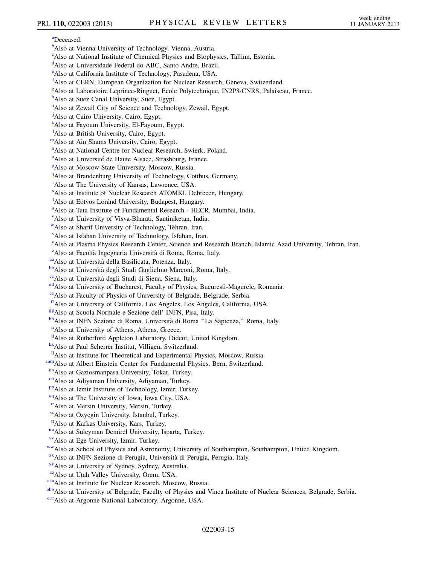- <span id="page-14-1"></span><span id="page-14-0"></span>[a](#page-4-29)Deceased.
- **[b](#page-4-30)**Also at Vienna University of Technology, Vienna, Austria.
- <span id="page-14-2"></span><sup>[c](#page-5-0)</sup>Also at National Institute of Chemical Physics and Biophysics, Tallinn, Estonia.
- <span id="page-14-3"></span><sup>[d](#page-5-1)</sup>Also at Universidade Federal do ABC, Santo Andre, Brazil.
- <span id="page-14-4"></span>[e](#page-5-2)Also at California Institute of Technology, Pasadena, USA.
- <span id="page-14-5"></span>[f](#page-5-3) Also at CERN, European Organization for Nuclear Research, Geneva, Switzerland.
- <span id="page-14-6"></span><sup>[g](#page-5-4)</sup>Also at Laboratoire Leprince-Ringuet, Ecole Polytechnique, IN2P3-CNRS, Palaiseau, France.
- <span id="page-14-7"></span><sup>[h](#page-5-5)</sup>Also at Suez Canal University, Suez, Egypt.
- <span id="page-14-8"></span><sup>[i](#page-5-6)</sup>Also at Zewail City of Science and Technology, Zewail, Egypt.
- <span id="page-14-9"></span><sup>[j](#page-5-6)</sup>Also at Cairo University, Cairo, Egypt.
- <span id="page-14-10"></span><sup>[k](#page-5-6)</sup>Also at Fayoum University, El-Fayoum, Egypt.
- <span id="page-14-11"></span><sup>1</sup>A[l](#page-5-6)so at British University, Cairo, Egypt.
- <span id="page-14-13"></span><span id="page-14-12"></span>[mA](#page-5-6)lso at Ain Shams University, Cairo, Egypt.
- <sup>[n](#page-5-7)</sup>Also at National Centre for Nuclear Research, Swierk, Poland.
- <span id="page-14-14"></span><sup>[o](#page-5-8)</sup>Also at Université de Haute Alsace, Strasbourg, France.
- <span id="page-14-15"></span>PAlso at Moscow State University, Moscow, Russia.
- <span id="page-14-16"></span><sup>[q](#page-5-10)</sup>Also at Brandenburg University of Technology, Cottbus, Germany.
- <span id="page-14-17"></span><sup>[r](#page-6-0)</sup>Also at The University of Kansas, Lawrence, USA.
- <span id="page-14-18"></span>[s](#page-6-1) Also at Institute of Nuclear Research ATOMKI, Debrecen, Hungary.
- <span id="page-14-19"></span><sup>[t](#page-6-1)</sup>Also at Eötvös Loránd University, Budapest, Hungary.
- <span id="page-14-20"></span><s[u](#page-6-2)p>u</sup>Also at Tata Institute of Fundamental Research - HECR, Mumbai, India.
- <span id="page-14-21"></span>[v](#page-6-3) Also at University of Visva-Bharati, Santiniketan, India.
- <span id="page-14-22"></span>[wA](#page-6-4)lso at Sharif University of Technology, Tehran, Iran.
- <span id="page-14-23"></span>[x](#page-6-4) Also at Isfahan University of Technology, Isfahan, Iran.
- <span id="page-14-24"></span>[y](#page-6-5) Also at Plasma Physics Research Center, Science and Research Branch, Islamic Azad University, Tehran, Iran.
- <span id="page-14-25"></span><sup>[z](#page-6-6)</sup>Also at Facoltà Ingegneria Università di Roma, Roma, Italy.
- <span id="page-14-26"></span>aa Also at Università della Basilicata, Potenza, Italy.
- <span id="page-14-27"></span>**bb**Also at Università degli Studi Guglielmo Marconi, Roma, Italy.
- <span id="page-14-28"></span><sup>cc</sup>Also at Università degli Studi di Siena, Siena, Italy.
- <span id="page-14-29"></span>dd Also at University of Bucharest, Faculty of Physics, Bucuresti-Magurele, Romania.
- <span id="page-14-30"></span>[eeA](#page-7-1)lso at Faculty of Physics of University of Belgrade, Belgrade, Serbia.
- <span id="page-14-31"></span>[ffA](#page-7-2)lso at University of California, Los Angeles, Los Angeles, California, USA.
- <span id="page-14-32"></span><sup>gg</sup>Also at Scuola Normale e Sezione dell' INFN, Pisa, Italy.
- <span id="page-14-33"></span>hh<sub>Also at INFN Sezione di Roma, Università di Roma "La Sapienza," Roma, Italy.</sub>
- <span id="page-14-34"></span>i<sup>i</sup>Also at University of Athens, Athens, Greece.
- <span id="page-14-35"></span>[jjA](#page-8-2)lso at Rutherford Appleton Laboratory, Didcot, United Kingdom.
- <span id="page-14-36"></span>[kkA](#page-8-3)lso at Paul Scherrer Institut, Villigen, Switzerland.
- <span id="page-14-37"></span> $\rm{^{11}A}$ lso at Institute for Theoretical and Experimental Physics, Moscow, Russia.
- <span id="page-14-39"></span><span id="page-14-38"></span>mm<sub>Also at Albert Einstein Center for Fundamental Physics, Bern, Switzerland.</sub>
- <sup>nn</sup>Also at Gaziosmanpasa University, Tokat, Turkey.
- <span id="page-14-40"></span><sup>oo</sup>Also at Adiyaman University, Adiyaman, Turkey.
- <span id="page-14-41"></span>[ppA](#page-8-7)lso at Izmir Institute of Technology, Izmir, Turkey.
- <span id="page-14-43"></span><span id="page-14-42"></span><sup>qq</sup>Also at The University of Iowa, Iowa City, USA.
- [rrA](#page-8-8)lso at Mersin University, Mersin, Turkey.
- <span id="page-14-44"></span>[ssA](#page-8-9)lso at Ozyegin University, Istanbul, Turkey.
- <span id="page-14-45"></span><sup>tt</sup>Also at Kafkas University, Kars, Turkey.
- <span id="page-14-46"></span>[uuA](#page-8-10)lso at Suleyman Demirel University, Isparta, Turkey.
- <span id="page-14-47"></span>[vvA](#page-8-10)lso at Ege University, Izmir, Turkey.
- <span id="page-14-49"></span><span id="page-14-48"></span>[wwA](#page-8-11)lso at School of Physics and Astronomy, University of Southampton, Southampton, United Kingdom.
- [xxA](#page-8-12)lso at INFN Sezione di Perugia, Universita` di Perugia, Perugia, Italy.
- <span id="page-14-50"></span>yy<sub>Also</sub> at University of Sydney, Sydney, Australia.
- <span id="page-14-51"></span><sup>zz</sup>Also at Utah Valley University, Orem, USA.
- <span id="page-14-52"></span>aaa Also at Institute for Nuclear Research, Moscow, Russia.
- <span id="page-14-53"></span>bbb<sub>Also</sub> at University of Belgrade, Faculty of Physics and Vinca Institute of Nuclear Sciences, Belgrade, Serbia.
- <span id="page-14-54"></span>[cccA](#page-9-4)lso at Argonne National Laboratory, Argonne, USA.